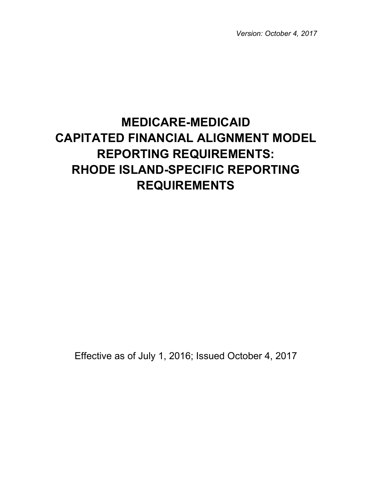*Version: October 4, 2017*

# **MEDICARE-MEDICAID CAPITATED FINANCIAL ALIGNMENT MODEL REPORTING REQUIREMENTS: RHODE ISLAND-SPECIFIC REPORTING REQUIREMENTS**

Effective as of July 1, 2016; Issued October 4, 2017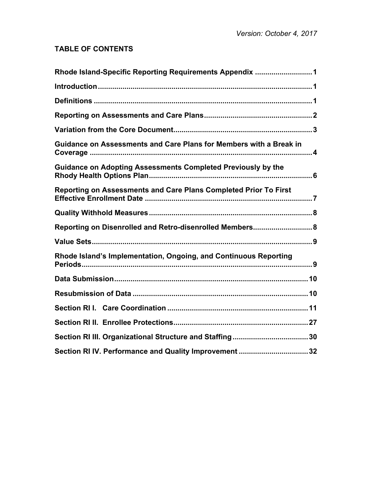# **TABLE OF CONTENTS**

| Rhode Island-Specific Reporting Requirements Appendix 1            |
|--------------------------------------------------------------------|
|                                                                    |
|                                                                    |
|                                                                    |
|                                                                    |
| Guidance on Assessments and Care Plans for Members with a Break in |
| Guidance on Adopting Assessments Completed Previously by the       |
| Reporting on Assessments and Care Plans Completed Prior To First   |
|                                                                    |
| Reporting on Disenrolled and Retro-disenrolled Members 8           |
|                                                                    |
| Rhode Island's Implementation, Ongoing, and Continuous Reporting   |
|                                                                    |
|                                                                    |
|                                                                    |
|                                                                    |
|                                                                    |
| Section RI IV. Performance and Quality Improvement 32              |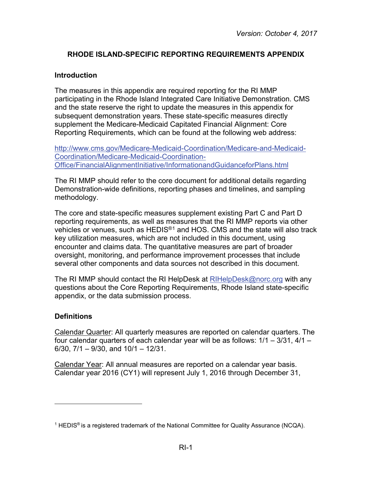## **RHODE ISLAND-SPECIFIC REPORTING REQUIREMENTS APPENDIX**

#### <span id="page-2-1"></span><span id="page-2-0"></span>**Introduction**

The measures in this appendix are required reporting for the RI MMP participating in the Rhode Island Integrated Care Initiative Demonstration. CMS and the state reserve the right to update the measures in this appendix for subsequent demonstration years. These state-specific measures directly supplement the Medicare-Medicaid Capitated Financial Alignment: Core Reporting Requirements, which can be found at the following web address:

[http://www.cms.gov/Medicare-Medicaid-Coordination/Medicare-and-Medicaid-](http://www.cms.gov/Medicare-Medicaid-Coordination/Medicare-and-Medicaid-Coordination/Medicare-Medicaid-Coordination-Office/FinancialAlignmentInitiative/InformationandGuidanceforPlans.html)[Coordination/Medicare-Medicaid-Coordination-](http://www.cms.gov/Medicare-Medicaid-Coordination/Medicare-and-Medicaid-Coordination/Medicare-Medicaid-Coordination-Office/FinancialAlignmentInitiative/InformationandGuidanceforPlans.html)[Office/FinancialAlignmentInitiative/InformationandGuidanceforPlans.html](http://www.cms.gov/Medicare-Medicaid-Coordination/Medicare-and-Medicaid-Coordination/Medicare-Medicaid-Coordination-Office/FinancialAlignmentInitiative/InformationandGuidanceforPlans.html)

The RI MMP should refer to the core document for additional details regarding Demonstration-wide definitions, reporting phases and timelines, and sampling methodology.

The core and state-specific measures supplement existing Part C and Part D reporting requirements, as well as measures that the RI MMP reports via other vehicles or venues, such as HEDIS®[1](#page-2-3) and HOS. CMS and the state will also track key utilization measures, which are not included in this document, using encounter and claims data. The quantitative measures are part of broader oversight, monitoring, and performance improvement processes that include several other components and data sources not described in this document.

The RI MMP should contact the RI HelpDesk at [RIHelpDesk@norc.org](mailto:RIHelpDesk@norc.org) with any questions about the Core Reporting Requirements, Rhode Island state-specific appendix, or the data submission process.

## <span id="page-2-2"></span>**Definitions**

 $\overline{a}$ 

Calendar Quarter: All quarterly measures are reported on calendar quarters. The four calendar quarters of each calendar year will be as follows: 1/1 – 3/31, 4/1 –  $6/30$ ,  $7/1 - 9/30$ , and  $10/1 - 12/31$ .

Calendar Year: All annual measures are reported on a calendar year basis. Calendar year 2016 (CY1) will represent July 1, 2016 through December 31,

<span id="page-2-3"></span><sup>&</sup>lt;sup>1</sup> HEDIS<sup>®</sup> is a registered trademark of the National Committee for Quality Assurance (NCQA).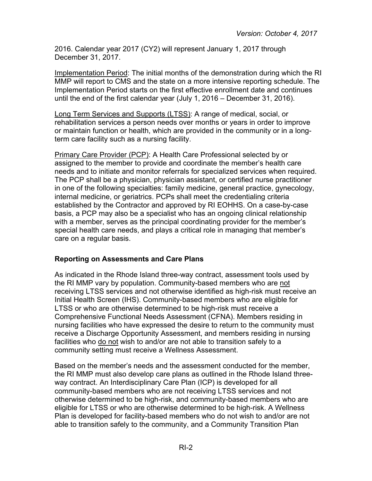2016. Calendar year 2017 (CY2) will represent January 1, 2017 through December 31, 2017.

Implementation Period: The initial months of the demonstration during which the RI MMP will report to CMS and the state on a more intensive reporting schedule. The Implementation Period starts on the first effective enrollment date and continues until the end of the first calendar year (July 1, 2016 – December 31, 2016).

Long Term Services and Supports (LTSS): A range of medical, social, or rehabilitation services a person needs over months or years in order to improve or maintain function or health, which are provided in the community or in a longterm care facility such as a nursing facility.

Primary Care Provider (PCP): A Health Care Professional selected by or assigned to the member to provide and coordinate the member's health care needs and to initiate and monitor referrals for specialized services when required. The PCP shall be a physician, physician assistant, or certified nurse practitioner in one of the following specialties: family medicine, general practice, gynecology, internal medicine, or geriatrics. PCPs shall meet the credentialing criteria established by the Contractor and approved by RI EOHHS. On a case-by-case basis, a PCP may also be a specialist who has an ongoing clinical relationship with a member, serves as the principal coordinating provider for the member's special health care needs, and plays a critical role in managing that member's care on a regular basis.

## <span id="page-3-0"></span>**Reporting on Assessments and Care Plans**

As indicated in the Rhode Island three-way contract, assessment tools used by the RI MMP vary by population. Community-based members who are not receiving LTSS services and not otherwise identified as high-risk must receive an Initial Health Screen (IHS). Community-based members who are eligible for LTSS or who are otherwise determined to be high-risk must receive a Comprehensive Functional Needs Assessment (CFNA). Members residing in nursing facilities who have expressed the desire to return to the community must receive a Discharge Opportunity Assessment, and members residing in nursing facilities who do not wish to and/or are not able to transition safely to a community setting must receive a Wellness Assessment.

Based on the member's needs and the assessment conducted for the member, the RI MMP must also develop care plans as outlined in the Rhode Island threeway contract. An Interdisciplinary Care Plan (ICP) is developed for all community-based members who are not receiving LTSS services and not otherwise determined to be high-risk, and community-based members who are eligible for LTSS or who are otherwise determined to be high-risk. A Wellness Plan is developed for facility-based members who do not wish to and/or are not able to transition safely to the community, and a Community Transition Plan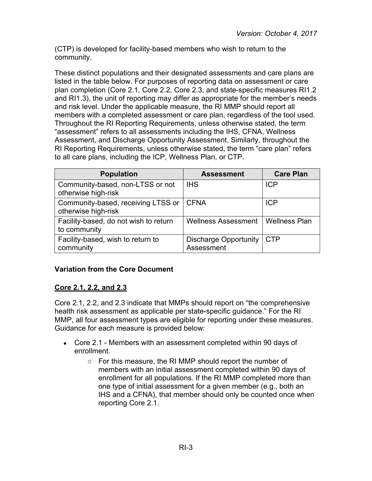(CTP) is developed for facility-based members who wish to return to the community.

These distinct populations and their designated assessments and care plans are listed in the table below. For purposes of reporting data on assessment or care plan completion (Core 2.1, Core 2.2, Core 2.3, and state-specific measures RI1.2 and RI1.3), the unit of reporting may differ as appropriate for the member's needs and risk level. Under the applicable measure, the RI MMP should report all members with a completed assessment or care plan, regardless of the tool used. Throughout the RI Reporting Requirements, unless otherwise stated, the term "assessment" refers to all assessments including the IHS, CFNA, Wellness Assessment, and Discharge Opportunity Assessment. Similarly, throughout the RI Reporting Requirements, unless otherwise stated, the term "care plan" refers to all care plans, including the ICP, Wellness Plan, or CTP.

| <b>Population</b>                                         | <b>Assessment</b>                          | <b>Care Plan</b>     |
|-----------------------------------------------------------|--------------------------------------------|----------------------|
| Community-based, non-LTSS or not<br>otherwise high-risk   | <b>IHS</b>                                 | <b>ICP</b>           |
| Community-based, receiving LTSS or<br>otherwise high-risk | <b>CFNA</b>                                | <b>ICP</b>           |
| Facility-based, do not wish to return<br>to community     | <b>Wellness Assessment</b>                 | <b>Wellness Plan</b> |
| Facility-based, wish to return to<br>community            | <b>Discharge Opportunity</b><br>Assessment | <b>CTP</b>           |

## <span id="page-4-0"></span>**Variation from the Core Document**

## **Core 2.1, 2.2, and 2.3**

Core 2.1, 2.2, and 2.3 indicate that MMPs should report on "the comprehensive health risk assessment as applicable per state-specific guidance." For the RI MMP, all four assessment types are eligible for reporting under these measures. Guidance for each measure is provided below:

- Core 2.1 Members with an assessment completed within 90 days of enrollment.
	- For this measure, the RI MMP should report the number of members with an initial assessment completed within 90 days of enrollment for all populations. If the RI MMP completed more than one type of initial assessment for a given member (e.g., both an IHS and a CFNA), that member should only be counted once when reporting Core 2.1.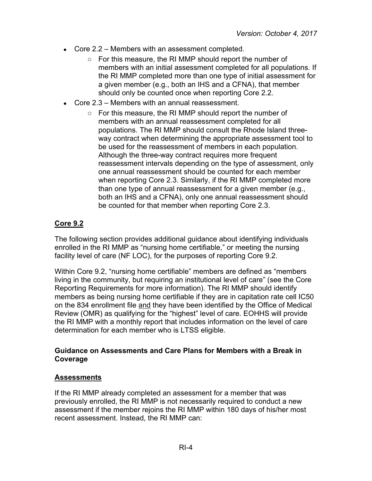- Core  $2.2$  Members with an assessment completed.
	- For this measure, the RI MMP should report the number of members with an initial assessment completed for all populations. If the RI MMP completed more than one type of initial assessment for a given member (e.g., both an IHS and a CFNA), that member should only be counted once when reporting Core 2.2.
- Core  $2.3$  Members with an annual reassessment.
	- For this measure, the RI MMP should report the number of members with an annual reassessment completed for all populations. The RI MMP should consult the Rhode Island threeway contract when determining the appropriate assessment tool to be used for the reassessment of members in each population. Although the three-way contract requires more frequent reassessment intervals depending on the type of assessment, only one annual reassessment should be counted for each member when reporting Core 2.3. Similarly, if the RI MMP completed more than one type of annual reassessment for a given member (e.g., both an IHS and a CFNA), only one annual reassessment should be counted for that member when reporting Core 2.3.

## **Core 9.2**

The following section provides additional guidance about identifying individuals enrolled in the RI MMP as "nursing home certifiable," or meeting the nursing facility level of care (NF LOC), for the purposes of reporting Core 9.2.

Within Core 9.2, "nursing home certifiable" members are defined as "members living in the community, but requiring an institutional level of care" (see the Core Reporting Requirements for more information). The RI MMP should identify members as being nursing home certifiable if they are in capitation rate cell IC50 on the 834 enrollment file and they have been identified by the Office of Medical Review (OMR) as qualifying for the "highest" level of care. EOHHS will provide the RI MMP with a monthly report that includes information on the level of care determination for each member who is LTSS eligible.

#### <span id="page-5-0"></span>**Guidance on Assessments and Care Plans for Members with a Break in Coverage**

#### **Assessments**

If the RI MMP already completed an assessment for a member that was previously enrolled, the RI MMP is not necessarily required to conduct a new assessment if the member rejoins the RI MMP within 180 days of his/her most recent assessment. Instead, the RI MMP can: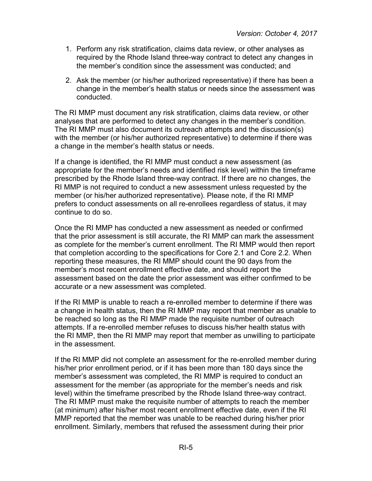- 1. Perform any risk stratification, claims data review, or other analyses as required by the Rhode Island three-way contract to detect any changes in the member's condition since the assessment was conducted; and
- 2. Ask the member (or his/her authorized representative) if there has been a change in the member's health status or needs since the assessment was conducted.

The RI MMP must document any risk stratification, claims data review, or other analyses that are performed to detect any changes in the member's condition. The RI MMP must also document its outreach attempts and the discussion(s) with the member (or his/her authorized representative) to determine if there was a change in the member's health status or needs.

If a change is identified, the RI MMP must conduct a new assessment (as appropriate for the member's needs and identified risk level) within the timeframe prescribed by the Rhode Island three-way contract. If there are no changes, the RI MMP is not required to conduct a new assessment unless requested by the member (or his/her authorized representative). Please note, if the RI MMP prefers to conduct assessments on all re-enrollees regardless of status, it may continue to do so.

Once the RI MMP has conducted a new assessment as needed or confirmed that the prior assessment is still accurate, the RI MMP can mark the assessment as complete for the member's current enrollment. The RI MMP would then report that completion according to the specifications for Core 2.1 and Core 2.2. When reporting these measures, the RI MMP should count the 90 days from the member's most recent enrollment effective date, and should report the assessment based on the date the prior assessment was either confirmed to be accurate or a new assessment was completed.

If the RI MMP is unable to reach a re-enrolled member to determine if there was a change in health status, then the RI MMP may report that member as unable to be reached so long as the RI MMP made the requisite number of outreach attempts. If a re-enrolled member refuses to discuss his/her health status with the RI MMP, then the RI MMP may report that member as unwilling to participate in the assessment.

If the RI MMP did not complete an assessment for the re-enrolled member during his/her prior enrollment period, or if it has been more than 180 days since the member's assessment was completed, the RI MMP is required to conduct an assessment for the member (as appropriate for the member's needs and risk level) within the timeframe prescribed by the Rhode Island three-way contract. The RI MMP must make the requisite number of attempts to reach the member (at minimum) after his/her most recent enrollment effective date, even if the RI MMP reported that the member was unable to be reached during his/her prior enrollment. Similarly, members that refused the assessment during their prior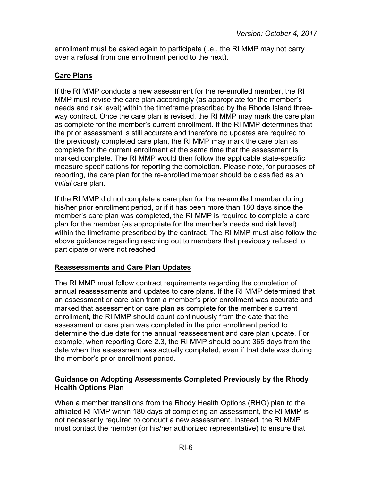enrollment must be asked again to participate (i.e., the RI MMP may not carry over a refusal from one enrollment period to the next).

## **Care Plans**

If the RI MMP conducts a new assessment for the re-enrolled member, the RI MMP must revise the care plan accordingly (as appropriate for the member's needs and risk level) within the timeframe prescribed by the Rhode Island threeway contract. Once the care plan is revised, the RI MMP may mark the care plan as complete for the member's current enrollment. If the RI MMP determines that the prior assessment is still accurate and therefore no updates are required to the previously completed care plan, the RI MMP may mark the care plan as complete for the current enrollment at the same time that the assessment is marked complete. The RI MMP would then follow the applicable state-specific measure specifications for reporting the completion. Please note, for purposes of reporting, the care plan for the re-enrolled member should be classified as an *initial* care plan.

If the RI MMP did not complete a care plan for the re-enrolled member during his/her prior enrollment period, or if it has been more than 180 days since the member's care plan was completed, the RI MMP is required to complete a care plan for the member (as appropriate for the member's needs and risk level) within the timeframe prescribed by the contract. The RI MMP must also follow the above guidance regarding reaching out to members that previously refused to participate or were not reached.

## **Reassessments and Care Plan Updates**

The RI MMP must follow contract requirements regarding the completion of annual reassessments and updates to care plans. If the RI MMP determined that an assessment or care plan from a member's prior enrollment was accurate and marked that assessment or care plan as complete for the member's current enrollment, the RI MMP should count continuously from the date that the assessment or care plan was completed in the prior enrollment period to determine the due date for the annual reassessment and care plan update. For example, when reporting Core 2.3, the RI MMP should count 365 days from the date when the assessment was actually completed, even if that date was during the member's prior enrollment period.

#### <span id="page-7-0"></span>**Guidance on Adopting Assessments Completed Previously by the Rhody Health Options Plan**

When a member transitions from the Rhody Health Options (RHO) plan to the affiliated RI MMP within 180 days of completing an assessment, the RI MMP is not necessarily required to conduct a new assessment. Instead, the RI MMP must contact the member (or his/her authorized representative) to ensure that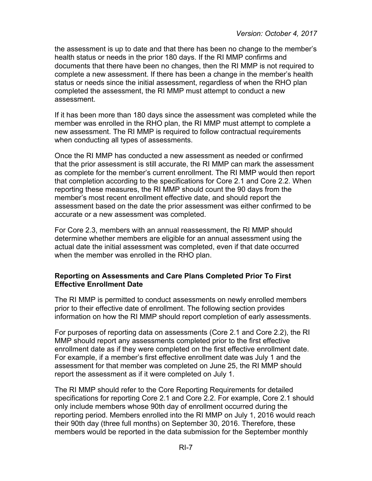the assessment is up to date and that there has been no change to the member's health status or needs in the prior 180 days. If the RI MMP confirms and documents that there have been no changes, then the RI MMP is not required to complete a new assessment. If there has been a change in the member's health status or needs since the initial assessment, regardless of when the RHO plan completed the assessment, the RI MMP must attempt to conduct a new assessment.

If it has been more than 180 days since the assessment was completed while the member was enrolled in the RHO plan, the RI MMP must attempt to complete a new assessment. The RI MMP is required to follow contractual requirements when conducting all types of assessments.

Once the RI MMP has conducted a new assessment as needed or confirmed that the prior assessment is still accurate, the RI MMP can mark the assessment as complete for the member's current enrollment. The RI MMP would then report that completion according to the specifications for Core 2.1 and Core 2.2. When reporting these measures, the RI MMP should count the 90 days from the member's most recent enrollment effective date, and should report the assessment based on the date the prior assessment was either confirmed to be accurate or a new assessment was completed.

For Core 2.3, members with an annual reassessment, the RI MMP should determine whether members are eligible for an annual assessment using the actual date the initial assessment was completed, even if that date occurred when the member was enrolled in the RHO plan.

#### <span id="page-8-0"></span>**Reporting on Assessments and Care Plans Completed Prior To First Effective Enrollment Date**

The RI MMP is permitted to conduct assessments on newly enrolled members prior to their effective date of enrollment. The following section provides information on how the RI MMP should report completion of early assessments.

For purposes of reporting data on assessments (Core 2.1 and Core 2.2), the RI MMP should report any assessments completed prior to the first effective enrollment date as if they were completed on the first effective enrollment date. For example, if a member's first effective enrollment date was July 1 and the assessment for that member was completed on June 25, the RI MMP should report the assessment as if it were completed on July 1.

The RI MMP should refer to the Core Reporting Requirements for detailed specifications for reporting Core 2.1 and Core 2.2. For example, Core 2.1 should only include members whose 90th day of enrollment occurred during the reporting period. Members enrolled into the RI MMP on July 1, 2016 would reach their 90th day (three full months) on September 30, 2016. Therefore, these members would be reported in the data submission for the September monthly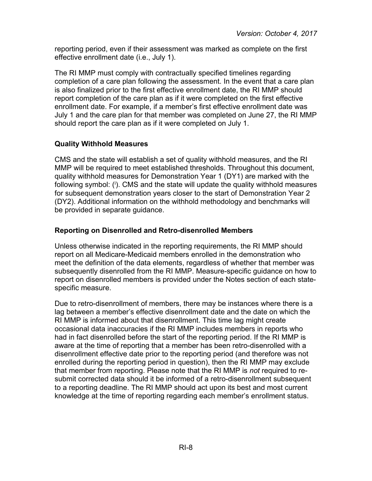reporting period, even if their assessment was marked as complete on the first effective enrollment date (i.e., July 1).

The RI MMP must comply with contractually specified timelines regarding completion of a care plan following the assessment. In the event that a care plan is also finalized prior to the first effective enrollment date, the RI MMP should report completion of the care plan as if it were completed on the first effective enrollment date. For example, if a member's first effective enrollment date was July 1 and the care plan for that member was completed on June 27, the RI MMP should report the care plan as if it were completed on July 1.

## <span id="page-9-0"></span>**Quality Withhold Measures**

CMS and the state will establish a set of quality withhold measures, and the RI MMP will be required to meet established thresholds. Throughout this document, quality withhold measures for Demonstration Year 1 (DY1) are marked with the following symbol: (i). CMS and the state will update the quality withhold measures for subsequent demonstration years closer to the start of Demonstration Year 2 (DY2). Additional information on the withhold methodology and benchmarks will be provided in separate guidance.

## <span id="page-9-1"></span>**Reporting on Disenrolled and Retro-disenrolled Members**

Unless otherwise indicated in the reporting requirements, the RI MMP should report on all Medicare-Medicaid members enrolled in the demonstration who meet the definition of the data elements, regardless of whether that member was subsequently disenrolled from the RI MMP. Measure-specific guidance on how to report on disenrolled members is provided under the Notes section of each statespecific measure.

Due to retro-disenrollment of members, there may be instances where there is a lag between a member's effective disenrollment date and the date on which the RI MMP is informed about that disenrollment. This time lag might create occasional data inaccuracies if the RI MMP includes members in reports who had in fact disenrolled before the start of the reporting period. If the RI MMP is aware at the time of reporting that a member has been retro-disenrolled with a disenrollment effective date prior to the reporting period (and therefore was not enrolled during the reporting period in question), then the RI MMP may exclude that member from reporting. Please note that the RI MMP is *not* required to resubmit corrected data should it be informed of a retro-disenrollment subsequent to a reporting deadline. The RI MMP should act upon its best and most current knowledge at the time of reporting regarding each member's enrollment status.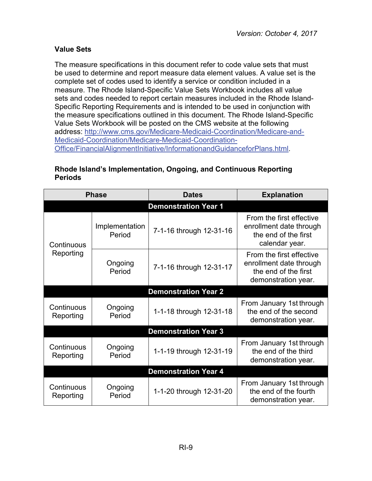## <span id="page-10-0"></span>**Value Sets**

The measure specifications in this document refer to code value sets that must be used to determine and report measure data element values. A value set is the complete set of codes used to identify a service or condition included in a measure. The Rhode Island-Specific Value Sets Workbook includes all value sets and codes needed to report certain measures included in the Rhode Island-Specific Reporting Requirements and is intended to be used in conjunction with the measure specifications outlined in this document. The Rhode Island-Specific Value Sets Workbook will be posted on the CMS website at the following address: [http://www.cms.gov/Medicare-Medicaid-Coordination/Medicare-and-](http://www.cms.gov/Medicare-Medicaid-Coordination/Medicare-and-Medicaid-Coordination/Medicare-Medicaid-Coordination-Office/FinancialAlignmentInitiative/InformationandGuidanceforPlans.html)[Medicaid-Coordination/Medicare-Medicaid-Coordination-](http://www.cms.gov/Medicare-Medicaid-Coordination/Medicare-and-Medicaid-Coordination/Medicare-Medicaid-Coordination-Office/FinancialAlignmentInitiative/InformationandGuidanceforPlans.html)[Office/FinancialAlignmentInitiative/InformationandGuidanceforPlans.html.](http://www.cms.gov/Medicare-Medicaid-Coordination/Medicare-and-Medicaid-Coordination/Medicare-Medicaid-Coordination-Office/FinancialAlignmentInitiative/InformationandGuidanceforPlans.html)

#### **Rhode Island's Implementation, Ongoing, and Continuous Reporting Periods**

<span id="page-10-1"></span>

|                             | <b>Phase</b>             | <b>Dates</b>                | <b>Explanation</b>                                                                                 |
|-----------------------------|--------------------------|-----------------------------|----------------------------------------------------------------------------------------------------|
|                             |                          | <b>Demonstration Year 1</b> |                                                                                                    |
| Continuous                  | Implementation<br>Period | 7-1-16 through 12-31-16     | From the first effective<br>enrollment date through<br>the end of the first<br>calendar year.      |
| Reporting                   | Ongoing<br>Period        | 7-1-16 through 12-31-17     | From the first effective<br>enrollment date through<br>the end of the first<br>demonstration year. |
|                             |                          | <b>Demonstration Year 2</b> |                                                                                                    |
| Continuous<br>Reporting     | Ongoing<br>Period        | 1-1-18 through 12-31-18     | From January 1st through<br>the end of the second<br>demonstration year.                           |
|                             |                          | <b>Demonstration Year 3</b> |                                                                                                    |
| Continuous<br>Reporting     | Ongoing<br>Period        | 1-1-19 through 12-31-19     | From January 1st through<br>the end of the third<br>demonstration year.                            |
| <b>Demonstration Year 4</b> |                          |                             |                                                                                                    |
| Continuous<br>Reporting     | Ongoing<br>Period        | 1-1-20 through 12-31-20     | From January 1st through<br>the end of the fourth<br>demonstration year.                           |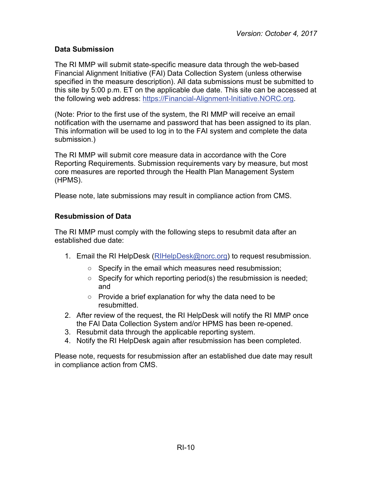## <span id="page-11-0"></span>**Data Submission**

The RI MMP will submit state-specific measure data through the web-based Financial Alignment Initiative (FAI) Data Collection System (unless otherwise specified in the measure description). All data submissions must be submitted to this site by 5:00 p.m. ET on the applicable due date. This site can be accessed at the following web address: [https://Financial-Alignment-Initiative.NORC.org.](https://financial-alignment-initiative.norc.org/)

(Note: Prior to the first use of the system, the RI MMP will receive an email notification with the username and password that has been assigned to its plan. This information will be used to log in to the FAI system and complete the data submission.)

The RI MMP will submit core measure data in accordance with the Core Reporting Requirements. Submission requirements vary by measure, but most core measures are reported through the Health Plan Management System (HPMS).

Please note, late submissions may result in compliance action from CMS.

## <span id="page-11-1"></span>**Resubmission of Data**

The RI MMP must comply with the following steps to resubmit data after an established due date:

- 1. Email the RI HelpDesk [\(RIHelpDesk@norc.org\)](mailto:RIHelpDesk@norc.org) to request resubmission.
	- Specify in the email which measures need resubmission;
	- $\circ$  Specify for which reporting period(s) the resubmission is needed; and
	- Provide a brief explanation for why the data need to be resubmitted.
- 2. After review of the request, the RI HelpDesk will notify the RI MMP once the FAI Data Collection System and/or HPMS has been re-opened.
- 3. Resubmit data through the applicable reporting system.
- 4. Notify the RI HelpDesk again after resubmission has been completed.

Please note, requests for resubmission after an established due date may result in compliance action from CMS.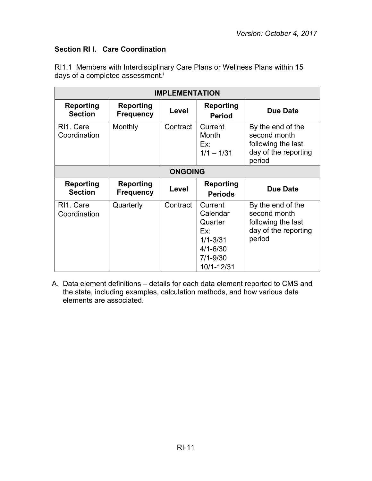## <span id="page-12-0"></span>**Section RI I. Care Coordination**

RI1.1 Members with Interdisciplinary Care Plans or Wellness Plans within 15 days of a completed assessment.<sup>i</sup>

| <b>IMPLEMENTATION</b>                  |                                      |                |                                                                                                     |                                                                                           |
|----------------------------------------|--------------------------------------|----------------|-----------------------------------------------------------------------------------------------------|-------------------------------------------------------------------------------------------|
| <b>Reporting</b><br><b>Section</b>     | <b>Reporting</b><br><b>Frequency</b> | Level          | <b>Reporting</b><br><b>Period</b>                                                                   | <b>Due Date</b>                                                                           |
| RI <sub>1</sub> . Care<br>Coordination | Monthly                              | Contract       | Current<br>Month<br>Ex:<br>$1/1 - 1/31$                                                             | By the end of the<br>second month<br>following the last<br>day of the reporting<br>period |
|                                        |                                      | <b>ONGOING</b> |                                                                                                     |                                                                                           |
| <b>Reporting</b><br><b>Section</b>     | Reporting<br><b>Frequency</b>        | Level          | Reporting<br><b>Periods</b>                                                                         | Due Date                                                                                  |
| RI <sub>1</sub> . Care<br>Coordination | Quarterly                            | Contract       | Current<br>Calendar<br>Quarter<br>Ex:<br>$1/1 - 3/31$<br>$4/1 - 6/30$<br>$7/1 - 9/30$<br>10/1-12/31 | By the end of the<br>second month<br>following the last<br>day of the reporting<br>period |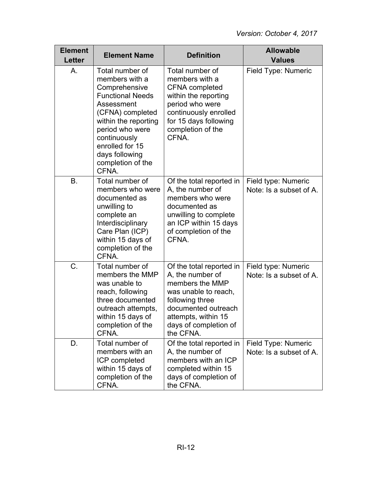| <b>Element</b><br><b>Letter</b> | <b>Element Name</b>                                                                                                                                                                                                                           | <b>Definition</b>                                                                                                                                                                              | <b>Allowable</b><br><b>Values</b>              |
|---------------------------------|-----------------------------------------------------------------------------------------------------------------------------------------------------------------------------------------------------------------------------------------------|------------------------------------------------------------------------------------------------------------------------------------------------------------------------------------------------|------------------------------------------------|
| А.                              | Total number of<br>members with a<br>Comprehensive<br><b>Functional Needs</b><br>Assessment<br>(CFNA) completed<br>within the reporting<br>period who were<br>continuously<br>enrolled for 15<br>days following<br>completion of the<br>CFNA. | Total number of<br>members with a<br><b>CFNA</b> completed<br>within the reporting<br>period who were<br>continuously enrolled<br>for 15 days following<br>completion of the<br>CFNA.          | Field Type: Numeric                            |
| B.                              | Total number of<br>members who were<br>documented as<br>unwilling to<br>complete an<br>Interdisciplinary<br>Care Plan (ICP)<br>within 15 days of<br>completion of the<br>CFNA.                                                                | Of the total reported in<br>A, the number of<br>members who were<br>documented as<br>unwilling to complete<br>an ICP within 15 days<br>of completion of the<br>CFNA.                           | Field type: Numeric<br>Note: Is a subset of A. |
| C.                              | Total number of<br>members the MMP<br>was unable to<br>reach, following<br>three documented<br>outreach attempts,<br>within 15 days of<br>completion of the<br>CFNA.                                                                          | Of the total reported in<br>A, the number of<br>members the MMP<br>was unable to reach,<br>following three<br>documented outreach<br>attempts, within 15<br>days of completion of<br>the CFNA. | Field type: Numeric<br>Note: Is a subset of A. |
| D.                              | Total number of<br>members with an<br>ICP completed<br>within 15 days of<br>completion of the<br>CFNA.                                                                                                                                        | Of the total reported in<br>A, the number of<br>members with an ICP<br>completed within 15<br>days of completion of<br>the CFNA.                                                               | Field Type: Numeric<br>Note: Is a subset of A. |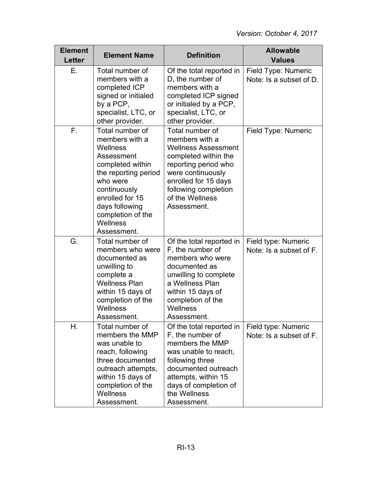| <b>Element</b><br><b>Letter</b> | <b>Element Name</b>                                                                                                                                                                                                      | <b>Definition</b>                                                                                                                                                                                                      | <b>Allowable</b><br><b>Values</b>              |
|---------------------------------|--------------------------------------------------------------------------------------------------------------------------------------------------------------------------------------------------------------------------|------------------------------------------------------------------------------------------------------------------------------------------------------------------------------------------------------------------------|------------------------------------------------|
| Е.                              | Total number of<br>members with a<br>completed ICP<br>signed or initialed<br>by a PCP,<br>specialist, LTC, or<br>other provider.                                                                                         | Of the total reported in<br>D, the number of<br>members with a<br>completed ICP signed<br>or initialed by a PCP,<br>specialist, LTC, or<br>other provider.                                                             | Field Type: Numeric<br>Note: Is a subset of D. |
| F.                              | Total number of<br>members with a<br>Wellness<br>Assessment<br>completed within<br>the reporting period<br>who were<br>continuously<br>enrolled for 15<br>days following<br>completion of the<br>Wellness<br>Assessment. | Total number of<br>members with a<br><b>Wellness Assessment</b><br>completed within the<br>reporting period who<br>were continuously<br>enrolled for 15 days<br>following completion<br>of the Wellness<br>Assessment. | Field Type: Numeric                            |
| G.                              | Total number of<br>members who were<br>documented as<br>unwilling to<br>complete a<br><b>Wellness Plan</b><br>within 15 days of<br>completion of the<br>Wellness<br>Assessment.                                          | Of the total reported in<br>F, the number of<br>members who were<br>documented as<br>unwilling to complete<br>a Wellness Plan<br>within 15 days of<br>completion of the<br>Wellness<br>Assessment.                     | Field type: Numeric<br>Note: Is a subset of F. |
| Η.                              | Total number of<br>members the MMP<br>was unable to<br>reach, following<br>three documented<br>outreach attempts,<br>within 15 days of<br>completion of the<br><b>Wellness</b><br>Assessment.                            | Of the total reported in<br>F, the number of<br>members the MMP<br>was unable to reach,<br>following three<br>documented outreach<br>attempts, within 15<br>days of completion of<br>the Wellness<br>Assessment.       | Field type: Numeric<br>Note: Is a subset of F. |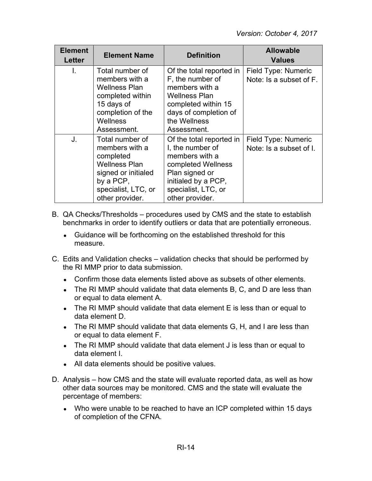| <b>Element</b><br>Letter | <b>Element Name</b>                                                                                                                                  | <b>Definition</b>                                                                                                                                                       | <b>Allowable</b><br><b>Values</b>              |
|--------------------------|------------------------------------------------------------------------------------------------------------------------------------------------------|-------------------------------------------------------------------------------------------------------------------------------------------------------------------------|------------------------------------------------|
| L.                       | Total number of<br>members with a<br><b>Wellness Plan</b><br>completed within<br>15 days of<br>completion of the<br><b>Wellness</b><br>Assessment.   | Of the total reported in<br>F, the number of<br>members with a<br><b>Wellness Plan</b><br>completed within 15<br>days of completion of<br>the Wellness<br>Assessment.   | Field Type: Numeric<br>Note: Is a subset of F. |
| J.                       | Total number of<br>members with a<br>completed<br><b>Wellness Plan</b><br>signed or initialed<br>by a PCP,<br>specialist, LTC, or<br>other provider. | Of the total reported in<br>I, the number of<br>members with a<br>completed Wellness<br>Plan signed or<br>initialed by a PCP,<br>specialist, LTC, or<br>other provider. | Field Type: Numeric<br>Note: Is a subset of I. |

- B. QA Checks/Thresholds procedures used by CMS and the state to establish benchmarks in order to identify outliers or data that are potentially erroneous.
	- Guidance will be forthcoming on the established threshold for this measure.
- C. Edits and Validation checks validation checks that should be performed by the RI MMP prior to data submission.
	- Confirm those data elements listed above as subsets of other elements.
	- The RI MMP should validate that data elements B, C, and D are less than or equal to data element A.
	- The RI MMP should validate that data element E is less than or equal to data element D.
	- The RI MMP should validate that data elements  $G, H$ , and I are less than or equal to data element F.
	- The RI MMP should validate that data element J is less than or equal to data element I.
	- All data elements should be positive values.
- D. Analysis how CMS and the state will evaluate reported data, as well as how other data sources may be monitored. CMS and the state will evaluate the percentage of members:
	- Who were unable to be reached to have an ICP completed within 15 days of completion of the CFNA.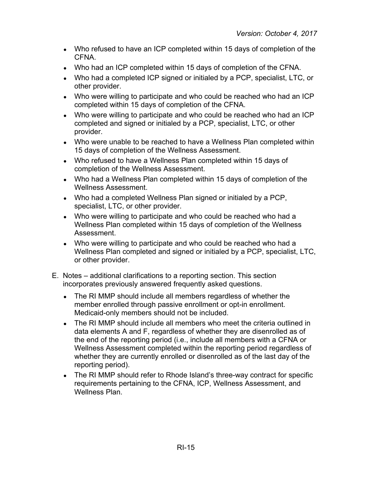- Who refused to have an ICP completed within 15 days of completion of the CFNA.
- Who had an ICP completed within 15 days of completion of the CFNA.
- Who had a completed ICP signed or initialed by a PCP, specialist, LTC, or other provider.
- Who were willing to participate and who could be reached who had an ICP completed within 15 days of completion of the CFNA.
- Who were willing to participate and who could be reached who had an ICP completed and signed or initialed by a PCP, specialist, LTC, or other provider.
- Who were unable to be reached to have a Wellness Plan completed within 15 days of completion of the Wellness Assessment.
- Who refused to have a Wellness Plan completed within 15 days of completion of the Wellness Assessment.
- Who had a Wellness Plan completed within 15 days of completion of the Wellness Assessment.
- Who had a completed Wellness Plan signed or initialed by a PCP, specialist, LTC, or other provider.
- Who were willing to participate and who could be reached who had a Wellness Plan completed within 15 days of completion of the Wellness Assessment.
- Who were willing to participate and who could be reached who had a Wellness Plan completed and signed or initialed by a PCP, specialist, LTC, or other provider.
- E. Notes additional clarifications to a reporting section. This section incorporates previously answered frequently asked questions.
	- The RI MMP should include all members regardless of whether the member enrolled through passive enrollment or opt-in enrollment. Medicaid-only members should not be included.
	- The RI MMP should include all members who meet the criteria outlined in data elements A and F, regardless of whether they are disenrolled as of the end of the reporting period (i.e., include all members with a CFNA or Wellness Assessment completed within the reporting period regardless of whether they are currently enrolled or disenrolled as of the last day of the reporting period).
	- The RI MMP should refer to Rhode Island's three-way contract for specific requirements pertaining to the CFNA, ICP, Wellness Assessment, and Wellness Plan.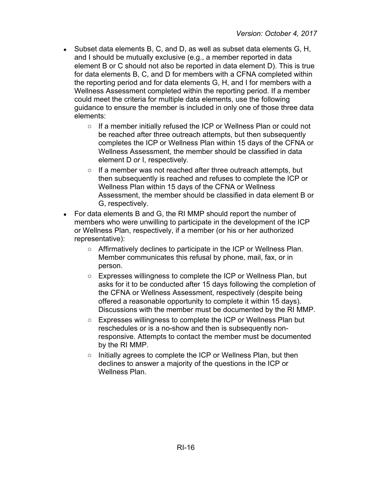- $\bullet$  Subset data elements B, C, and D, as well as subset data elements G, H, and I should be mutually exclusive (e.g., a member reported in data element B or C should not also be reported in data element D). This is true for data elements B, C, and D for members with a CFNA completed within the reporting period and for data elements G, H, and I for members with a Wellness Assessment completed within the reporting period. If a member could meet the criteria for multiple data elements, use the following guidance to ensure the member is included in only one of those three data elements:
	- If a member initially refused the ICP or Wellness Plan or could not be reached after three outreach attempts, but then subsequently completes the ICP or Wellness Plan within 15 days of the CFNA or Wellness Assessment, the member should be classified in data element D or I, respectively.
	- If a member was not reached after three outreach attempts, but then subsequently is reached and refuses to complete the ICP or Wellness Plan within 15 days of the CFNA or Wellness Assessment, the member should be classified in data element B or G, respectively.
- For data elements B and G, the RI MMP should report the number of members who were unwilling to participate in the development of the ICP or Wellness Plan, respectively, if a member (or his or her authorized representative):
	- Affirmatively declines to participate in the ICP or Wellness Plan. Member communicates this refusal by phone, mail, fax, or in person.
	- Expresses willingness to complete the ICP or Wellness Plan, but asks for it to be conducted after 15 days following the completion of the CFNA or Wellness Assessment, respectively (despite being offered a reasonable opportunity to complete it within 15 days). Discussions with the member must be documented by the RI MMP.
	- Expresses willingness to complete the ICP or Wellness Plan but reschedules or is a no-show and then is subsequently nonresponsive. Attempts to contact the member must be documented by the RI MMP.
	- Initially agrees to complete the ICP or Wellness Plan, but then declines to answer a majority of the questions in the ICP or Wellness Plan.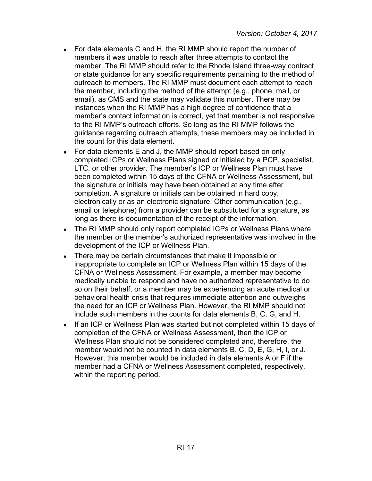- For data elements C and H, the RI MMP should report the number of members it was unable to reach after three attempts to contact the member. The RI MMP should refer to the Rhode Island three-way contract or state guidance for any specific requirements pertaining to the method of outreach to members. The RI MMP must document each attempt to reach the member, including the method of the attempt (e.g., phone, mail, or email), as CMS and the state may validate this number. There may be instances when the RI MMP has a high degree of confidence that a member's contact information is correct, yet that member is not responsive to the RI MMP's outreach efforts. So long as the RI MMP follows the guidance regarding outreach attempts, these members may be included in the count for this data element.
- For data elements E and J, the MMP should report based on only completed ICPs or Wellness Plans signed or initialed by a PCP, specialist, LTC, or other provider. The member's ICP or Wellness Plan must have been completed within 15 days of the CFNA or Wellness Assessment, but the signature or initials may have been obtained at any time after completion. A signature or initials can be obtained in hard copy, electronically or as an electronic signature. Other communication (e.g., email or telephone) from a provider can be substituted for a signature, as long as there is documentation of the receipt of the information.
- The RI MMP should only report completed ICPs or Wellness Plans where the member or the member's authorized representative was involved in the development of the ICP or Wellness Plan.
- There may be certain circumstances that make it impossible or inappropriate to complete an ICP or Wellness Plan within 15 days of the CFNA or Wellness Assessment. For example, a member may become medically unable to respond and have no authorized representative to do so on their behalf, or a member may be experiencing an acute medical or behavioral health crisis that requires immediate attention and outweighs the need for an ICP or Wellness Plan. However, the RI MMP should not include such members in the counts for data elements B, C, G, and H.
- If an ICP or Wellness Plan was started but not completed within 15 days of completion of the CFNA or Wellness Assessment, then the ICP or Wellness Plan should not be considered completed and, therefore, the member would not be counted in data elements B, C, D, E, G, H, I, or J. However, this member would be included in data elements A or F if the member had a CFNA or Wellness Assessment completed, respectively, within the reporting period.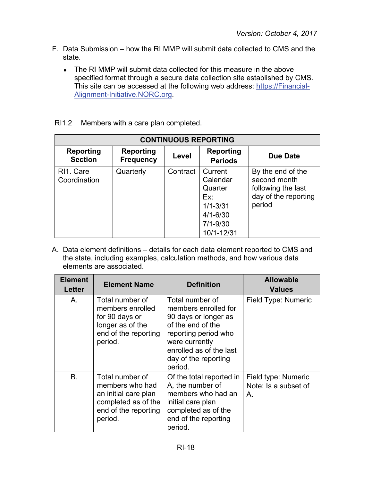- F. Data Submission how the RI MMP will submit data collected to CMS and the state.
	- The RI MMP will submit data collected for this measure in the above specified format through a secure data collection site established by CMS. This site can be accessed at the following web address: [https://Financial-](https://financial-alignment-initiative.norc.org/)[Alignment-Initiative.NORC.org.](https://financial-alignment-initiative.norc.org/)
- RI1.2 Members with a care plan completed.

| <b>CONTINUOUS REPORTING</b>        |                                      |          |                                                                                                     |                                                                                           |
|------------------------------------|--------------------------------------|----------|-----------------------------------------------------------------------------------------------------|-------------------------------------------------------------------------------------------|
| <b>Reporting</b><br><b>Section</b> | <b>Reporting</b><br><b>Frequency</b> | Level    | Reporting<br><b>Periods</b>                                                                         | Due Date                                                                                  |
| RI1. Care<br>Coordination          | Quarterly                            | Contract | Current<br>Calendar<br>Quarter<br>Ex:<br>$1/1 - 3/31$<br>$4/1 - 6/30$<br>$7/1 - 9/30$<br>10/1-12/31 | By the end of the<br>second month<br>following the last<br>day of the reporting<br>period |

| <b>Element</b><br>Letter | <b>Element Name</b>                                                                                                  | <b>Definition</b>                                                                                                                                                                            | <b>Allowable</b><br><b>Values</b>                      |
|--------------------------|----------------------------------------------------------------------------------------------------------------------|----------------------------------------------------------------------------------------------------------------------------------------------------------------------------------------------|--------------------------------------------------------|
| Α.                       | Total number of<br>members enrolled<br>for 90 days or<br>longer as of the<br>end of the reporting<br>period.         | Total number of<br>members enrolled for<br>90 days or longer as<br>of the end of the<br>reporting period who<br>were currently<br>enrolled as of the last<br>day of the reporting<br>period. | Field Type: Numeric                                    |
| <b>B.</b>                | Total number of<br>members who had<br>an initial care plan<br>completed as of the<br>end of the reporting<br>period. | Of the total reported in<br>A, the number of<br>members who had an<br>initial care plan<br>completed as of the<br>end of the reporting<br>period.                                            | Field type: Numeric<br>Note: Is a subset of<br>$A_{1}$ |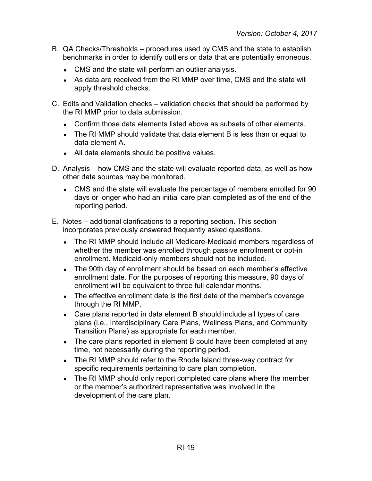- B. QA Checks/Thresholds procedures used by CMS and the state to establish benchmarks in order to identify outliers or data that are potentially erroneous.
	- CMS and the state will perform an outlier analysis.
	- As data are received from the RI MMP over time, CMS and the state will apply threshold checks.
- C. Edits and Validation checks validation checks that should be performed by the RI MMP prior to data submission.
	- Confirm those data elements listed above as subsets of other elements.
	- The RI MMP should validate that data element B is less than or equal to data element A.
	- All data elements should be positive values.
- D. Analysis how CMS and the state will evaluate reported data, as well as how other data sources may be monitored.
	- CMS and the state will evaluate the percentage of members enrolled for 90 days or longer who had an initial care plan completed as of the end of the reporting period.
- E. Notes additional clarifications to a reporting section. This section incorporates previously answered frequently asked questions.
	- The RI MMP should include all Medicare-Medicaid members regardless of whether the member was enrolled through passive enrollment or opt-in enrollment. Medicaid-only members should not be included.
	- The 90th day of enrollment should be based on each member's effective enrollment date. For the purposes of reporting this measure, 90 days of enrollment will be equivalent to three full calendar months.
	- The effective enrollment date is the first date of the member's coverage through the RI MMP.
	- Care plans reported in data element B should include all types of care plans (i.e., Interdisciplinary Care Plans, Wellness Plans, and Community Transition Plans) as appropriate for each member.
	- The care plans reported in element B could have been completed at any time, not necessarily during the reporting period.
	- The RI MMP should refer to the Rhode Island three-way contract for specific requirements pertaining to care plan completion.
	- The RI MMP should only report completed care plans where the member or the member's authorized representative was involved in the development of the care plan.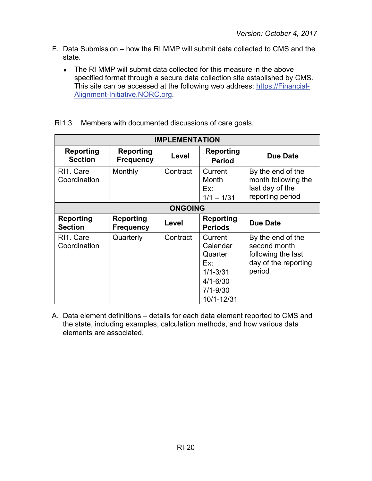- F. Data Submission how the RI MMP will submit data collected to CMS and the state.
	- The RI MMP will submit data collected for this measure in the above specified format through a secure data collection site established by CMS. This site can be accessed at the following web address: [https://Financial-](https://financial-alignment-initiative.norc.org/)[Alignment-Initiative.NORC.org.](https://financial-alignment-initiative.norc.org/)

|  | RI1.3 Members with documented discussions of care goals. |  |
|--|----------------------------------------------------------|--|
|--|----------------------------------------------------------|--|

| <b>IMPLEMENTATION</b>                  |                               |                |                                                                                                     |                                                                                           |
|----------------------------------------|-------------------------------|----------------|-----------------------------------------------------------------------------------------------------|-------------------------------------------------------------------------------------------|
| <b>Reporting</b><br><b>Section</b>     | Reporting<br><b>Frequency</b> | Level          | <b>Reporting</b><br><b>Period</b>                                                                   | <b>Due Date</b>                                                                           |
| RI1. Care<br>Coordination              | Monthly                       | Contract       | Current<br>Month<br>Ex:<br>$1/1 - 1/31$                                                             | By the end of the<br>month following the<br>last day of the<br>reporting period           |
|                                        |                               | <b>ONGOING</b> |                                                                                                     |                                                                                           |
| <b>Reporting</b><br><b>Section</b>     | Reporting<br><b>Frequency</b> | Level          | Reporting<br><b>Periods</b>                                                                         | <b>Due Date</b>                                                                           |
| RI <sub>1</sub> . Care<br>Coordination | Quarterly                     | Contract       | Current<br>Calendar<br>Quarter<br>Fx.<br>$1/1 - 3/31$<br>$4/1 - 6/30$<br>$7/1 - 9/30$<br>10/1-12/31 | By the end of the<br>second month<br>following the last<br>day of the reporting<br>period |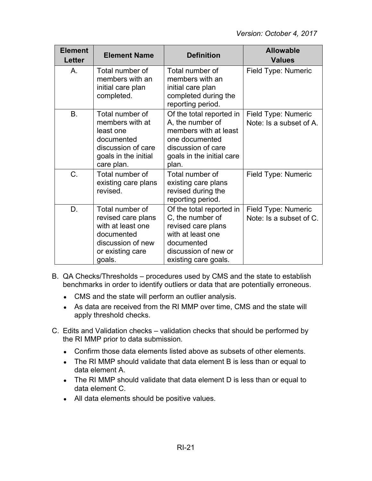| <b>Element</b><br>Letter | <b>Element Name</b>                                                                                                         | <b>Definition</b>                                                                                                                                     | <b>Allowable</b><br><b>Values</b>              |
|--------------------------|-----------------------------------------------------------------------------------------------------------------------------|-------------------------------------------------------------------------------------------------------------------------------------------------------|------------------------------------------------|
| Α.                       | Total number of<br>members with an<br>initial care plan<br>completed.                                                       | Total number of<br>members with an<br>initial care plan<br>completed during the<br>reporting period.                                                  | Field Type: Numeric                            |
| <b>B.</b>                | Total number of<br>members with at<br>least one<br>documented<br>discussion of care<br>goals in the initial<br>care plan.   | Of the total reported in<br>A, the number of<br>members with at least<br>one documented<br>discussion of care<br>goals in the initial care<br>plan.   | Field Type: Numeric<br>Note: Is a subset of A. |
| C.                       | Total number of<br>existing care plans<br>revised.                                                                          | Total number of<br>existing care plans<br>revised during the<br>reporting period.                                                                     | Field Type: Numeric                            |
| D.                       | Total number of<br>revised care plans<br>with at least one<br>documented<br>discussion of new<br>or existing care<br>goals. | Of the total reported in<br>C, the number of<br>revised care plans<br>with at least one<br>documented<br>discussion of new or<br>existing care goals. | Field Type: Numeric<br>Note: Is a subset of C. |

- B. QA Checks/Thresholds procedures used by CMS and the state to establish benchmarks in order to identify outliers or data that are potentially erroneous.
	- CMS and the state will perform an outlier analysis.
	- As data are received from the RI MMP over time, CMS and the state will apply threshold checks.
- C. Edits and Validation checks validation checks that should be performed by the RI MMP prior to data submission.
	- Confirm those data elements listed above as subsets of other elements.
	- The RI MMP should validate that data element B is less than or equal to data element A.
	- The RI MMP should validate that data element D is less than or equal to data element C.
	- All data elements should be positive values.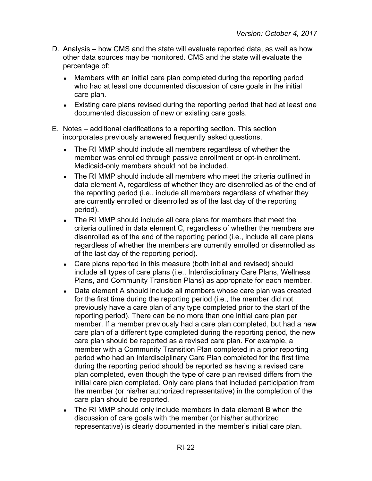- D. Analysis how CMS and the state will evaluate reported data, as well as how other data sources may be monitored. CMS and the state will evaluate the percentage of:
	- Members with an initial care plan completed during the reporting period who had at least one documented discussion of care goals in the initial care plan.
	- Existing care plans revised during the reporting period that had at least one documented discussion of new or existing care goals.
- E. Notes additional clarifications to a reporting section. This section incorporates previously answered frequently asked questions.
	- The RI MMP should include all members regardless of whether the member was enrolled through passive enrollment or opt-in enrollment. Medicaid-only members should not be included.
	- The RI MMP should include all members who meet the criteria outlined in data element A, regardless of whether they are disenrolled as of the end of the reporting period (i.e., include all members regardless of whether they are currently enrolled or disenrolled as of the last day of the reporting period).
	- The RI MMP should include all care plans for members that meet the criteria outlined in data element C, regardless of whether the members are disenrolled as of the end of the reporting period (i.e., include all care plans regardless of whether the members are currently enrolled or disenrolled as of the last day of the reporting period).
	- Care plans reported in this measure (both initial and revised) should include all types of care plans (i.e., Interdisciplinary Care Plans, Wellness Plans, and Community Transition Plans) as appropriate for each member.
	- Data element A should include all members whose care plan was created for the first time during the reporting period (i.e., the member did not previously have a care plan of any type completed prior to the start of the reporting period). There can be no more than one initial care plan per member. If a member previously had a care plan completed, but had a new care plan of a different type completed during the reporting period, the new care plan should be reported as a revised care plan. For example, a member with a Community Transition Plan completed in a prior reporting period who had an Interdisciplinary Care Plan completed for the first time during the reporting period should be reported as having a revised care plan completed, even though the type of care plan revised differs from the initial care plan completed. Only care plans that included participation from the member (or his/her authorized representative) in the completion of the care plan should be reported.
	- The RI MMP should only include members in data element B when the discussion of care goals with the member (or his/her authorized representative) is clearly documented in the member's initial care plan.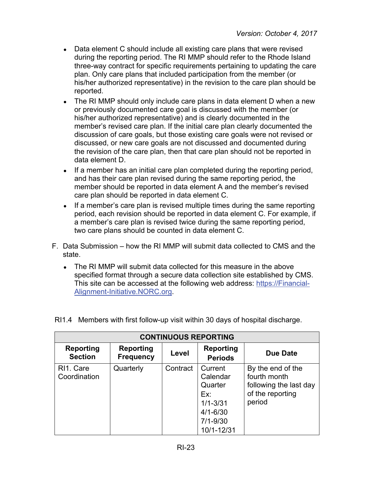- Data element C should include all existing care plans that were revised during the reporting period. The RI MMP should refer to the Rhode Island three-way contract for specific requirements pertaining to updating the care plan. Only care plans that included participation from the member (or his/her authorized representative) in the revision to the care plan should be reported.
- The RI MMP should only include care plans in data element D when a new or previously documented care goal is discussed with the member (or his/her authorized representative) and is clearly documented in the member's revised care plan. If the initial care plan clearly documented the discussion of care goals, but those existing care goals were not revised or discussed, or new care goals are not discussed and documented during the revision of the care plan, then that care plan should not be reported in data element D.
- If a member has an initial care plan completed during the reporting period, and has their care plan revised during the same reporting period, the member should be reported in data element A and the member's revised care plan should be reported in data element C.
- If a member's care plan is revised multiple times during the same reporting period, each revision should be reported in data element C. For example, if a member's care plan is revised twice during the same reporting period, two care plans should be counted in data element C.
- F. Data Submission how the RI MMP will submit data collected to CMS and the state.
	- The RI MMP will submit data collected for this measure in the above specified format through a secure data collection site established by CMS. This site can be accessed at the following web address: [https://Financial-](https://financial-alignment-initiative.norc.org/)[Alignment-Initiative.NORC.org.](https://financial-alignment-initiative.norc.org/)

| <b>CONTINUOUS REPORTING</b>        |                                      |          |                                                                                                     |                                                                                           |  |
|------------------------------------|--------------------------------------|----------|-----------------------------------------------------------------------------------------------------|-------------------------------------------------------------------------------------------|--|
| <b>Reporting</b><br><b>Section</b> | <b>Reporting</b><br><b>Frequency</b> | Level    | <b>Reporting</b><br><b>Periods</b>                                                                  | Due Date                                                                                  |  |
| RI1. Care<br>Coordination          | Quarterly                            | Contract | Current<br>Calendar<br>Quarter<br>Ex:<br>$1/1 - 3/31$<br>$4/1 - 6/30$<br>$7/1 - 9/30$<br>10/1-12/31 | By the end of the<br>fourth month<br>following the last day<br>of the reporting<br>period |  |

RI1.4 Members with first follow-up visit within 30 days of hospital discharge.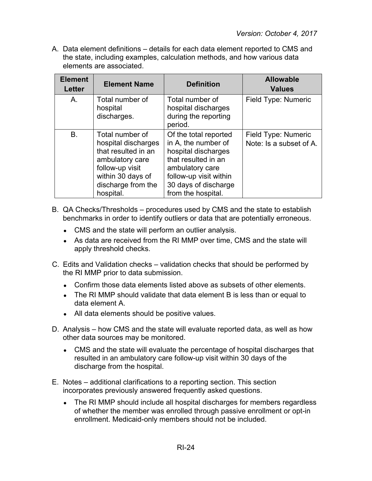| <b>Element</b><br><b>Letter</b> | <b>Element Name</b>                                                                                                                                         | <b>Definition</b>                                                                                                                                                                     | <b>Allowable</b><br><b>Values</b>              |
|---------------------------------|-------------------------------------------------------------------------------------------------------------------------------------------------------------|---------------------------------------------------------------------------------------------------------------------------------------------------------------------------------------|------------------------------------------------|
| A.                              | Total number of<br>hospital<br>discharges.                                                                                                                  | Total number of<br>hospital discharges<br>during the reporting<br>period.                                                                                                             | Field Type: Numeric                            |
| B.                              | Total number of<br>hospital discharges<br>that resulted in an<br>ambulatory care<br>follow-up visit<br>within 30 days of<br>discharge from the<br>hospital. | Of the total reported<br>in A, the number of<br>hospital discharges<br>that resulted in an<br>ambulatory care<br>follow-up visit within<br>30 days of discharge<br>from the hospital. | Field Type: Numeric<br>Note: Is a subset of A. |

- B. QA Checks/Thresholds procedures used by CMS and the state to establish benchmarks in order to identify outliers or data that are potentially erroneous.
	- CMS and the state will perform an outlier analysis.
	- As data are received from the RI MMP over time, CMS and the state will apply threshold checks.
- C. Edits and Validation checks validation checks that should be performed by the RI MMP prior to data submission.
	- $\bullet$  Confirm those data elements listed above as subsets of other elements.
	- The RI MMP should validate that data element B is less than or equal to data element A.
	- All data elements should be positive values.
- D. Analysis how CMS and the state will evaluate reported data, as well as how other data sources may be monitored.
	- CMS and the state will evaluate the percentage of hospital discharges that resulted in an ambulatory care follow-up visit within 30 days of the discharge from the hospital.
- E. Notes additional clarifications to a reporting section. This section incorporates previously answered frequently asked questions.
	- The RI MMP should include all hospital discharges for members regardless of whether the member was enrolled through passive enrollment or opt-in enrollment. Medicaid-only members should not be included.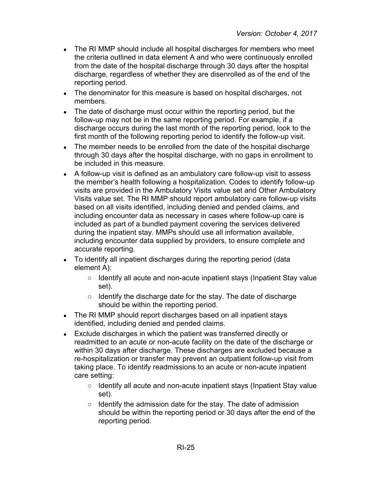- The RI MMP should include all hospital discharges for members who meet the criteria outlined in data element A and who were continuously enrolled from the date of the hospital discharge through 30 days after the hospital discharge, regardless of whether they are disenrolled as of the end of the reporting period.
- The denominator for this measure is based on hospital discharges, not members.
- The date of discharge must occur within the reporting period, but the follow-up may not be in the same reporting period. For example, if a discharge occurs during the last month of the reporting period, look to the first month of the following reporting period to identify the follow-up visit.
- The member needs to be enrolled from the date of the hospital discharge through 30 days after the hospital discharge, with no gaps in enrollment to be included in this measure.
- A follow-up visit is defined as an ambulatory care follow-up visit to assess the member's health following a hospitalization. Codes to identify follow-up visits are provided in the Ambulatory Visits value set and Other Ambulatory Visits value set. The RI MMP should report ambulatory care follow-up visits based on all visits identified, including denied and pended claims, and including encounter data as necessary in cases where follow-up care is included as part of a bundled payment covering the services delivered during the inpatient stay. MMPs should use all information available, including encounter data supplied by providers, to ensure complete and accurate reporting.
- To identify all inpatient discharges during the reporting period (data element A):
	- Identify all acute and non-acute inpatient stays (Inpatient Stay value set).
	- Identify the discharge date for the stay. The date of discharge should be within the reporting period.
- The RI MMP should report discharges based on all inpatient stays identified, including denied and pended claims.
- Exclude discharges in which the patient was transferred directly or readmitted to an acute or non-acute facility on the date of the discharge or within 30 days after discharge. These discharges are excluded because a re-hospitalization or transfer may prevent an outpatient follow-up visit from taking place. To identify readmissions to an acute or non-acute inpatient care setting:
	- Identify all acute and non-acute inpatient stays (Inpatient Stay value set).
	- Identify the admission date for the stay. The date of admission should be within the reporting period or 30 days after the end of the reporting period.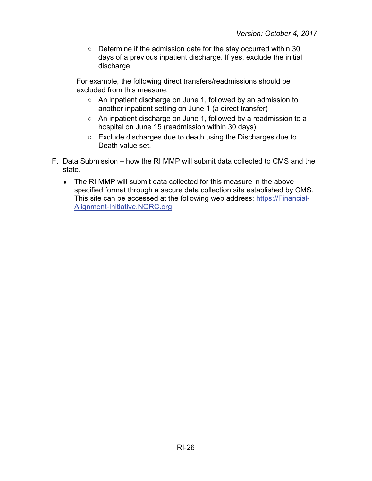○ Determine if the admission date for the stay occurred within 30 days of a previous inpatient discharge. If yes, exclude the initial discharge.

For example, the following direct transfers/readmissions should be excluded from this measure:

- An inpatient discharge on June 1, followed by an admission to another inpatient setting on June 1 (a direct transfer)
- An inpatient discharge on June 1, followed by a readmission to a hospital on June 15 (readmission within 30 days)
- Exclude discharges due to death using the Discharges due to Death value set.
- F. Data Submission how the RI MMP will submit data collected to CMS and the state.
	- The RI MMP will submit data collected for this measure in the above specified format through a secure data collection site established by CMS. This site can be accessed at the following web address: [https://Financial-](https://financial-alignment-initiative.norc.org/)[Alignment-Initiative.NORC.org.](https://financial-alignment-initiative.norc.org/)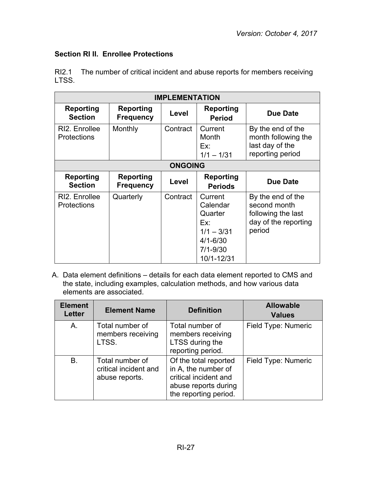# <span id="page-28-0"></span>**Section RI II. Enrollee Protections**

RI2.1 The number of critical incident and abuse reports for members receiving LTSS.

| <b>IMPLEMENTATION</b>               |                                      |          |                                                                                                     |                                                                                           |  |
|-------------------------------------|--------------------------------------|----------|-----------------------------------------------------------------------------------------------------|-------------------------------------------------------------------------------------------|--|
| <b>Reporting</b><br><b>Section</b>  | Reporting<br><b>Frequency</b>        | Level    | <b>Reporting</b><br><b>Period</b>                                                                   | Due Date                                                                                  |  |
| RI2. Enrollee<br><b>Protections</b> | Monthly                              | Contract | Current<br>Month<br>Ex:<br>$1/1 - 1/31$                                                             | By the end of the<br>month following the<br>last day of the<br>reporting period           |  |
|                                     | <b>ONGOING</b>                       |          |                                                                                                     |                                                                                           |  |
| <b>Reporting</b><br><b>Section</b>  | <b>Reporting</b><br><b>Frequency</b> | Level    | <b>Reporting</b><br><b>Periods</b>                                                                  | Due Date                                                                                  |  |
| RI2. Enrollee<br><b>Protections</b> | Quarterly                            | Contract | Current<br>Calendar<br>Quarter<br>Ex:<br>$1/1 - 3/31$<br>$4/1 - 6/30$<br>$7/1 - 9/30$<br>10/1-12/31 | By the end of the<br>second month<br>following the last<br>day of the reporting<br>period |  |

| <b>Element</b><br><b>Letter</b> | <b>Element Name</b>                                        | <b>Definition</b>                                                                                                      | <b>Allowable</b><br><b>Values</b> |
|---------------------------------|------------------------------------------------------------|------------------------------------------------------------------------------------------------------------------------|-----------------------------------|
| A.                              | Total number of<br>members receiving<br>LTSS.              | Total number of<br>members receiving<br>LTSS during the<br>reporting period.                                           | Field Type: Numeric               |
| <b>B.</b>                       | Total number of<br>critical incident and<br>abuse reports. | Of the total reported<br>in A, the number of<br>critical incident and<br>abuse reports during<br>the reporting period. | Field Type: Numeric               |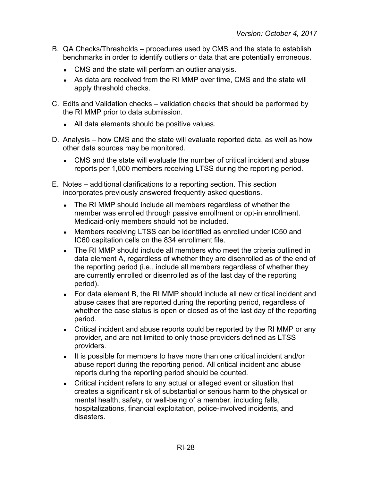- B. QA Checks/Thresholds procedures used by CMS and the state to establish benchmarks in order to identify outliers or data that are potentially erroneous.
	- CMS and the state will perform an outlier analysis.
	- As data are received from the RI MMP over time, CMS and the state will apply threshold checks.
- C. Edits and Validation checks validation checks that should be performed by the RI MMP prior to data submission.
	- All data elements should be positive values.
- D. Analysis how CMS and the state will evaluate reported data, as well as how other data sources may be monitored.
	- CMS and the state will evaluate the number of critical incident and abuse reports per 1,000 members receiving LTSS during the reporting period.
- E. Notes additional clarifications to a reporting section. This section incorporates previously answered frequently asked questions.
	- The RI MMP should include all members regardless of whether the member was enrolled through passive enrollment or opt-in enrollment. Medicaid-only members should not be included.
	- Members receiving LTSS can be identified as enrolled under IC50 and IC60 capitation cells on the 834 enrollment file.
	- The RI MMP should include all members who meet the criteria outlined in data element A, regardless of whether they are disenrolled as of the end of the reporting period (i.e., include all members regardless of whether they are currently enrolled or disenrolled as of the last day of the reporting period).
	- For data element B, the RI MMP should include all new critical incident and abuse cases that are reported during the reporting period, regardless of whether the case status is open or closed as of the last day of the reporting period.
	- Critical incident and abuse reports could be reported by the RI MMP or any provider, and are not limited to only those providers defined as LTSS providers.
	- It is possible for members to have more than one critical incident and/or abuse report during the reporting period. All critical incident and abuse reports during the reporting period should be counted.
	- Critical incident refers to any actual or alleged event or situation that creates a significant risk of substantial or serious harm to the physical or mental health, safety, or well-being of a member, including falls, hospitalizations, financial exploitation, police-involved incidents, and disasters.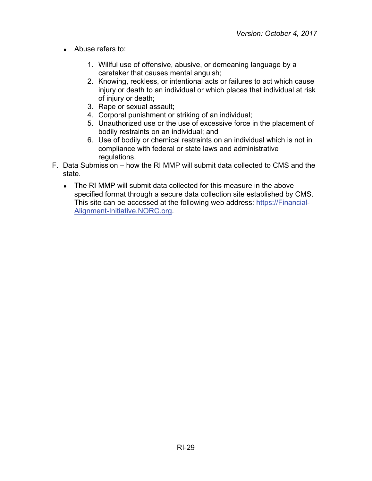- Abuse refers to:
	- 1. Willful use of offensive, abusive, or demeaning language by a caretaker that causes mental anguish;
	- 2. Knowing, reckless, or intentional acts or failures to act which cause injury or death to an individual or which places that individual at risk of injury or death;
	- 3. Rape or sexual assault;
	- 4. Corporal punishment or striking of an individual;
	- 5. Unauthorized use or the use of excessive force in the placement of bodily restraints on an individual; and
	- 6. Use of bodily or chemical restraints on an individual which is not in compliance with federal or state laws and administrative regulations.
- F. Data Submission how the RI MMP will submit data collected to CMS and the state.
	- The RI MMP will submit data collected for this measure in the above specified format through a secure data collection site established by CMS. This site can be accessed at the following web address: [https://Financial-](https://financial-alignment-initiative.norc.org/)[Alignment-Initiative.NORC.org.](https://financial-alignment-initiative.norc.org/)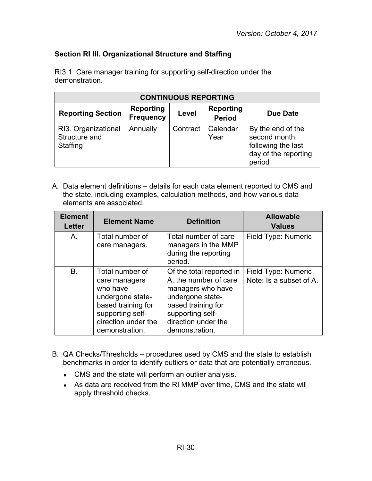## <span id="page-31-0"></span>**Section RI III. Organizational Structure and Staffing**

| <b>CONTINUOUS REPORTING</b>                      |                                      |          |                                   |                                                                                           |
|--------------------------------------------------|--------------------------------------|----------|-----------------------------------|-------------------------------------------------------------------------------------------|
| <b>Reporting Section</b>                         | <b>Reporting</b><br><b>Frequency</b> | Level    | <b>Reporting</b><br><b>Period</b> | Due Date                                                                                  |
| RI3. Organizational<br>Structure and<br>Staffing | Annually                             | Contract | Calendar<br>Year                  | By the end of the<br>second month<br>following the last<br>day of the reporting<br>period |

RI3.1 Care manager training for supporting self-direction under the demonstration.

| <b>Element</b><br><b>Letter</b> | <b>Element Name</b>                                                                                                                                 | <b>Definition</b>                                                                                                                                                             | <b>Allowable</b><br><b>Values</b>              |
|---------------------------------|-----------------------------------------------------------------------------------------------------------------------------------------------------|-------------------------------------------------------------------------------------------------------------------------------------------------------------------------------|------------------------------------------------|
| A.                              | Total number of<br>care managers.                                                                                                                   | Total number of care<br>managers in the MMP<br>during the reporting<br>period.                                                                                                | Field Type: Numeric                            |
| <b>B.</b>                       | Total number of<br>care managers<br>who have<br>undergone state-<br>based training for<br>supporting self-<br>direction under the<br>demonstration. | Of the total reported in<br>A, the number of care<br>managers who have<br>undergone state-<br>based training for<br>supporting self-<br>direction under the<br>demonstration. | Field Type: Numeric<br>Note: Is a subset of A. |

- B. QA Checks/Thresholds procedures used by CMS and the state to establish benchmarks in order to identify outliers or data that are potentially erroneous.
	- CMS and the state will perform an outlier analysis.
	- As data are received from the RI MMP over time, CMS and the state will apply threshold checks.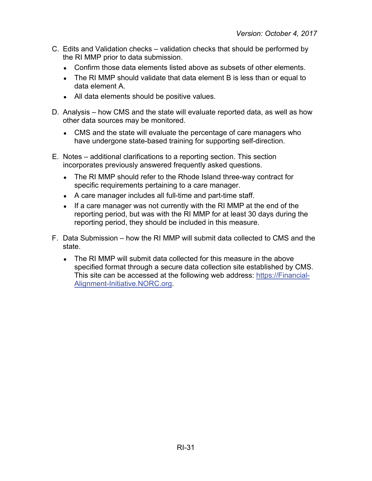- C. Edits and Validation checks validation checks that should be performed by the RI MMP prior to data submission.
	- Confirm those data elements listed above as subsets of other elements.
	- The RI MMP should validate that data element B is less than or equal to data element A.
	- All data elements should be positive values.
- D. Analysis how CMS and the state will evaluate reported data, as well as how other data sources may be monitored.
	- CMS and the state will evaluate the percentage of care managers who have undergone state-based training for supporting self-direction.
- E. Notes additional clarifications to a reporting section. This section incorporates previously answered frequently asked questions.
	- The RI MMP should refer to the Rhode Island three-way contract for specific requirements pertaining to a care manager.
	- A care manager includes all full-time and part-time staff.
	- If a care manager was not currently with the RI MMP at the end of the reporting period, but was with the RI MMP for at least 30 days during the reporting period, they should be included in this measure.
- F. Data Submission how the RI MMP will submit data collected to CMS and the state.
	- The RI MMP will submit data collected for this measure in the above specified format through a secure data collection site established by CMS. This site can be accessed at the following web address: [https://Financial-](https://financial-alignment-initiative.norc.org/)[Alignment-Initiative.NORC.org.](https://financial-alignment-initiative.norc.org/)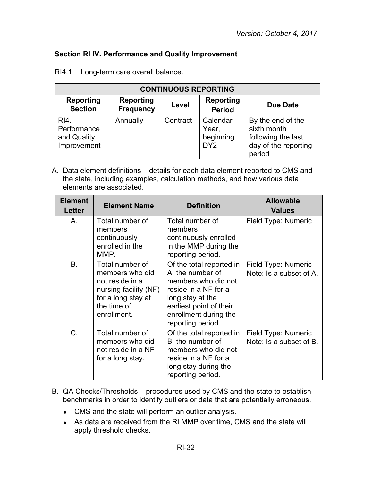## <span id="page-33-0"></span>**Section RI IV. Performance and Quality Improvement**

| <b>CONTINUOUS REPORTING</b>                       |                                      |          |                                                   |                                                                                          |
|---------------------------------------------------|--------------------------------------|----------|---------------------------------------------------|------------------------------------------------------------------------------------------|
| <b>Reporting</b><br><b>Section</b>                | <b>Reporting</b><br><b>Frequency</b> | Level    | <b>Reporting</b><br><b>Period</b>                 | Due Date                                                                                 |
| RI4.<br>Performance<br>and Quality<br>Improvement | Annually                             | Contract | Calendar<br>Year,<br>beginning<br>DY <sub>2</sub> | By the end of the<br>sixth month<br>following the last<br>day of the reporting<br>period |

RI4.1 Long-term care overall balance.

| <b>Element</b><br>Letter | <b>Element Name</b>                                                                                                                | <b>Definition</b>                                                                                                                                                                        | <b>Allowable</b><br><b>Values</b>              |
|--------------------------|------------------------------------------------------------------------------------------------------------------------------------|------------------------------------------------------------------------------------------------------------------------------------------------------------------------------------------|------------------------------------------------|
| Α.                       | Total number of<br>members<br>continuously<br>enrolled in the<br>MMP.                                                              | Total number of<br>members<br>continuously enrolled<br>in the MMP during the<br>reporting period.                                                                                        | Field Type: Numeric                            |
| <b>B.</b>                | Total number of<br>members who did<br>not reside in a<br>nursing facility (NF)<br>for a long stay at<br>the time of<br>enrollment. | Of the total reported in<br>A, the number of<br>members who did not<br>reside in a NF for a<br>long stay at the<br>earliest point of their<br>enrollment during the<br>reporting period. | Field Type: Numeric<br>Note: Is a subset of A. |
| C.                       | Total number of<br>members who did<br>not reside in a NF<br>for a long stay.                                                       | Of the total reported in<br>B, the number of<br>members who did not<br>reside in a NF for a<br>long stay during the<br>reporting period.                                                 | Field Type: Numeric<br>Note: Is a subset of B. |

- B. QA Checks/Thresholds procedures used by CMS and the state to establish benchmarks in order to identify outliers or data that are potentially erroneous.
	- CMS and the state will perform an outlier analysis.
	- As data are received from the RI MMP over time, CMS and the state will apply threshold checks.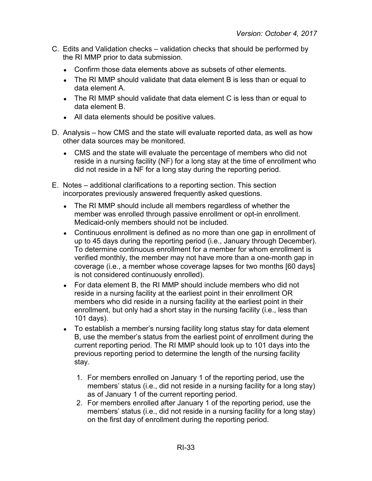- C. Edits and Validation checks validation checks that should be performed by the RI MMP prior to data submission.
	- Confirm those data elements above as subsets of other elements.
	- The RI MMP should validate that data element B is less than or equal to data element A.
	- The RI MMP should validate that data element C is less than or equal to data element B.
	- All data elements should be positive values.
- D. Analysis how CMS and the state will evaluate reported data, as well as how other data sources may be monitored.
	- CMS and the state will evaluate the percentage of members who did not reside in a nursing facility (NF) for a long stay at the time of enrollment who did not reside in a NF for a long stay during the reporting period.
- E. Notes additional clarifications to a reporting section. This section incorporates previously answered frequently asked questions.
	- The RI MMP should include all members regardless of whether the member was enrolled through passive enrollment or opt-in enrollment. Medicaid-only members should not be included.
	- Continuous enrollment is defined as no more than one gap in enrollment of up to 45 days during the reporting period (i.e., January through December). To determine continuous enrollment for a member for whom enrollment is verified monthly, the member may not have more than a one-month gap in coverage (i.e., a member whose coverage lapses for two months [60 days] is not considered continuously enrolled).
	- For data element B, the RI MMP should include members who did not reside in a nursing facility at the earliest point in their enrollment OR members who did reside in a nursing facility at the earliest point in their enrollment, but only had a short stay in the nursing facility (i.e., less than 101 days).
	- To establish a member's nursing facility long status stay for data element B, use the member's status from the earliest point of enrollment during the current reporting period. The RI MMP should look up to 101 days into the previous reporting period to determine the length of the nursing facility stay.
		- 1. For members enrolled on January 1 of the reporting period, use the members' status (i.e., did not reside in a nursing facility for a long stay) as of January 1 of the current reporting period.
		- 2. For members enrolled after January 1 of the reporting period, use the members' status (i.e., did not reside in a nursing facility for a long stay) on the first day of enrollment during the reporting period.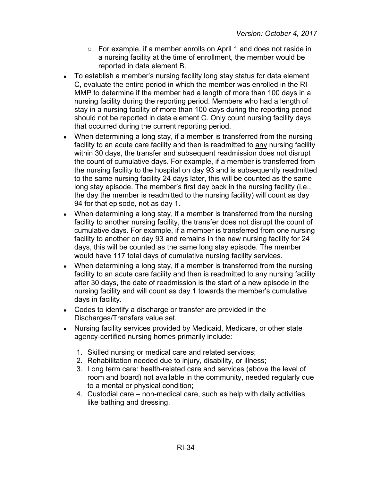- For example, if a member enrolls on April 1 and does not reside in a nursing facility at the time of enrollment, the member would be reported in data element B.
- To establish a member's nursing facility long stay status for data element C, evaluate the entire period in which the member was enrolled in the RI MMP to determine if the member had a length of more than 100 days in a nursing facility during the reporting period. Members who had a length of stay in a nursing facility of more than 100 days during the reporting period should not be reported in data element C. Only count nursing facility days that occurred during the current reporting period.
- When determining a long stay, if a member is transferred from the nursing facility to an acute care facility and then is readmitted to any nursing facility within 30 days, the transfer and subsequent readmission does not disrupt the count of cumulative days. For example, if a member is transferred from the nursing facility to the hospital on day 93 and is subsequently readmitted to the same nursing facility 24 days later, this will be counted as the same long stay episode. The member's first day back in the nursing facility (i.e., the day the member is readmitted to the nursing facility) will count as day 94 for that episode, not as day 1.
- When determining a long stay, if a member is transferred from the nursing facility to another nursing facility, the transfer does not disrupt the count of cumulative days. For example, if a member is transferred from one nursing facility to another on day 93 and remains in the new nursing facility for 24 days, this will be counted as the same long stay episode. The member would have 117 total days of cumulative nursing facility services.
- When determining a long stay, if a member is transferred from the nursing facility to an acute care facility and then is readmitted to any nursing facility after 30 days, the date of readmission is the start of a new episode in the nursing facility and will count as day 1 towards the member's cumulative days in facility.
- Codes to identify a discharge or transfer are provided in the Discharges/Transfers value set.
- Nursing facility services provided by Medicaid, Medicare, or other state agency-certified nursing homes primarily include:
	- 1. Skilled nursing or medical care and related services;
	- 2. Rehabilitation needed due to injury, disability, or illness;
	- 3. Long term care: health-related care and services (above the level of room and board) not available in the community, needed regularly due to a mental or physical condition;
	- 4. Custodial care non-medical care, such as help with daily activities like bathing and dressing.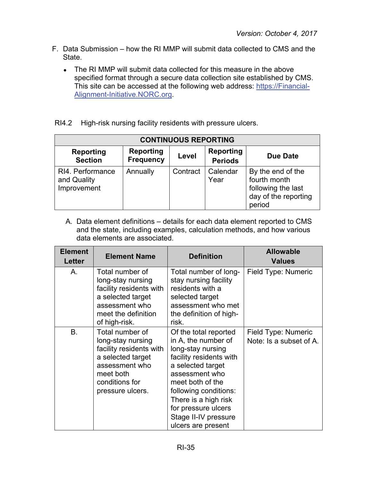- F. Data Submission how the RI MMP will submit data collected to CMS and the State.
	- The RI MMP will submit data collected for this measure in the above specified format through a secure data collection site established by CMS. This site can be accessed at the following web address: [https://Financial-](https://financial-alignment-initiative.norc.org/)[Alignment-Initiative.NORC.org.](https://financial-alignment-initiative.norc.org/)
- RI4.2 High-risk nursing facility residents with pressure ulcers.

| <b>CONTINUOUS REPORTING</b>                    |                                      |          |                                    |                                                                                           |
|------------------------------------------------|--------------------------------------|----------|------------------------------------|-------------------------------------------------------------------------------------------|
| <b>Reporting</b><br><b>Section</b>             | <b>Reporting</b><br><b>Frequency</b> | Level    | <b>Reporting</b><br><b>Periods</b> | <b>Due Date</b>                                                                           |
| RI4. Performance<br>and Quality<br>Improvement | Annually                             | Contract | Calendar<br>Year                   | By the end of the<br>fourth month<br>following the last<br>day of the reporting<br>period |

| <b>Element</b><br><b>Letter</b> | <b>Element Name</b>                                                                                                                                       | <b>Definition</b>                                                                                                                                                                                                                                                             | <b>Allowable</b><br><b>Values</b>              |
|---------------------------------|-----------------------------------------------------------------------------------------------------------------------------------------------------------|-------------------------------------------------------------------------------------------------------------------------------------------------------------------------------------------------------------------------------------------------------------------------------|------------------------------------------------|
| Α.                              | Total number of<br>long-stay nursing<br>facility residents with<br>a selected target<br>assessment who<br>meet the definition<br>of high-risk.            | Total number of long-<br>stay nursing facility<br>residents with a<br>selected target<br>assessment who met<br>the definition of high-<br>risk.                                                                                                                               | Field Type: Numeric                            |
| B.                              | Total number of<br>long-stay nursing<br>facility residents with<br>a selected target<br>assessment who<br>meet both<br>conditions for<br>pressure ulcers. | Of the total reported<br>in A, the number of<br>long-stay nursing<br>facility residents with<br>a selected target<br>assessment who<br>meet both of the<br>following conditions:<br>There is a high risk<br>for pressure ulcers<br>Stage II-IV pressure<br>ulcers are present | Field Type: Numeric<br>Note: Is a subset of A. |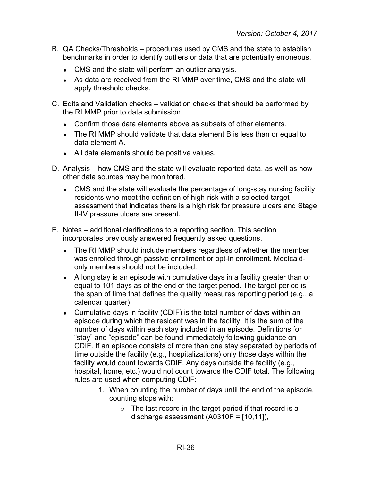- B. QA Checks/Thresholds procedures used by CMS and the state to establish benchmarks in order to identify outliers or data that are potentially erroneous.
	- CMS and the state will perform an outlier analysis.
	- As data are received from the RI MMP over time, CMS and the state will apply threshold checks.
- C. Edits and Validation checks validation checks that should be performed by the RI MMP prior to data submission.
	- Confirm those data elements above as subsets of other elements.
	- The RI MMP should validate that data element B is less than or equal to data element A.
	- All data elements should be positive values.
- D. Analysis how CMS and the state will evaluate reported data, as well as how other data sources may be monitored.
	- CMS and the state will evaluate the percentage of long-stay nursing facility residents who meet the definition of high-risk with a selected target assessment that indicates there is a high risk for pressure ulcers and Stage II-IV pressure ulcers are present.
- E. Notes additional clarifications to a reporting section. This section incorporates previously answered frequently asked questions.
	- The RI MMP should include members regardless of whether the member was enrolled through passive enrollment or opt-in enrollment. Medicaidonly members should not be included.
	- A long stay is an episode with cumulative days in a facility greater than or equal to 101 days as of the end of the target period. The target period is the span of time that defines the quality measures reporting period (e.g., a calendar quarter).
	- Cumulative days in facility (CDIF) is the total number of days within an episode during which the resident was in the facility. It is the sum of the number of days within each stay included in an episode. Definitions for "stay" and "episode" can be found immediately following guidance on CDIF. If an episode consists of more than one stay separated by periods of time outside the facility (e.g., hospitalizations) only those days within the facility would count towards CDIF. Any days outside the facility (e.g., hospital, home, etc.) would not count towards the CDIF total. The following rules are used when computing CDIF:
		- 1. When counting the number of days until the end of the episode, counting stops with:
			- $\circ$  The last record in the target period if that record is a discharge assessment (A0310F = [10,11]),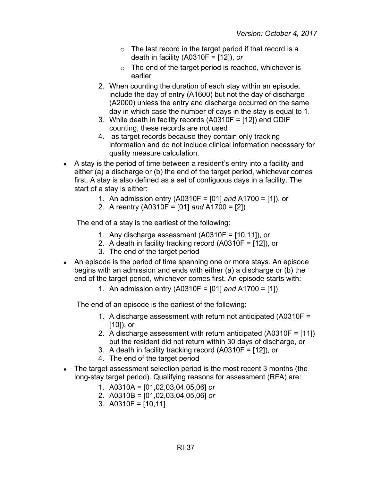- $\circ$  The last record in the target period if that record is a death in facility (A0310F = [12]), *or*
- $\circ$  The end of the target period is reached, whichever is earlier
- 2. When counting the duration of each stay within an episode, include the day of entry (A1600) but not the day of discharge (A2000) unless the entry and discharge occurred on the same day in which case the number of days in the stay is equal to 1.
- 3. While death in facility records (A0310F = [12]) end CDIF counting, these records are not used
- 4. as target records because they contain only tracking information and do not include clinical information necessary for quality measure calculation.
- A stay is the period of time between a resident's entry into a facility and either (a) a discharge or (b) the end of the target period, whichever comes first. A stay is also defined as a set of contiguous days in a facility. The start of a stay is either:
	- 1. An admission entry (A0310F = [01] *and* A1700 = [1]), or
	- 2. A reentry (A0310F = [01] *and* A1700 = [2])

The end of a stay is the earliest of the following:

- 1. Any discharge assessment (A0310F = [10,11]), or
- 2. A death in facility tracking record (A0310F = [12]), or
- 3. The end of the target period
- An episode is the period of time spanning one or more stays. An episode begins with an admission and ends with either (a) a discharge or (b) the end of the target period, whichever comes first. An episode starts with:
	- 1. An admission entry (A0310F = [01] *and* A1700 = [1])

The end of an episode is the earliest of the following:

- 1. A discharge assessment with return not anticipated (A0310F = [10]), or
- 2. A discharge assessment with return anticipated (A0310F = [11]) but the resident did not return within 30 days of discharge, or
- 3. A death in facility tracking record (A0310F = [12]), or
- 4. The end of the target period
- The target assessment selection period is the most recent 3 months (the long-stay target period). Qualifying reasons for assessment (RFA) are:
	- 1. A0310A = [01,02,03,04,05,06] *or*
	- 2. A0310B = [01,02,03,04,05,06] *or*
	- 3. A0310F =  $[10, 11]$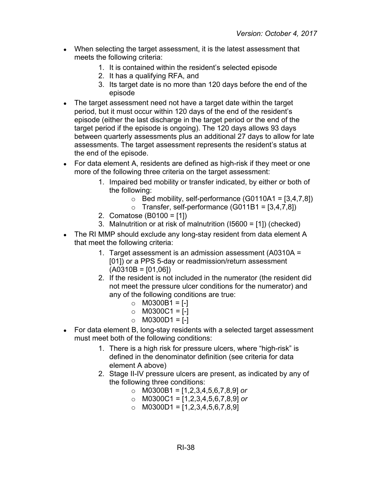- When selecting the target assessment, it is the latest assessment that meets the following criteria:
	- 1. It is contained within the resident's selected episode
	- 2. It has a qualifying RFA, and
	- 3. Its target date is no more than 120 days before the end of the episode
- The target assessment need not have a target date within the target period, but it must occur within 120 days of the end of the resident's episode (either the last discharge in the target period or the end of the target period if the episode is ongoing). The 120 days allows 93 days between quarterly assessments plus an additional 27 days to allow for late assessments. The target assessment represents the resident's status at the end of the episode.
- For data element A, residents are defined as high-risk if they meet or one more of the following three criteria on the target assessment:
	- 1. Impaired bed mobility or transfer indicated, by either or both of the following:
		- $\circ$  Bed mobility, self-performance (G0110A1 = [3,4,7,8])
		- $\circ$  Transfer, self-performance (G011B1 = [3,4,7,8])
	- 2. Comatose (B0100 = [1])
	- 3. Malnutrition or at risk of malnutrition (I5600 = [1]) (checked)
- The RI MMP should exclude any long-stay resident from data element A that meet the following criteria:
	- 1. Target assessment is an admission assessment (A0310A = [01]) or a PPS 5-day or readmission/return assessment  $(A0310B = [01,06])$
	- 2. If the resident is not included in the numerator (the resident did not meet the pressure ulcer conditions for the numerator) and any of the following conditions are true:
		- $\circ$  M0300B1 = [-]
		- $O$  M0300C1 = [-]
		- $\circ$  M0300D1 = [-]
- For data element B, long-stay residents with a selected target assessment must meet both of the following conditions:
	- 1. There is a high risk for pressure ulcers, where "high-risk" is defined in the denominator definition (see criteria for data element A above)
	- 2. Stage II-IV pressure ulcers are present, as indicated by any of the following three conditions:
		- o M0300B1 = [1,2,3,4,5,6,7,8,9] *or*
		- o M0300C1 = [1,2,3,4,5,6,7,8,9] *or*
		- $\circ$  M0300D1 = [1,2,3,4,5,6,7,8,9]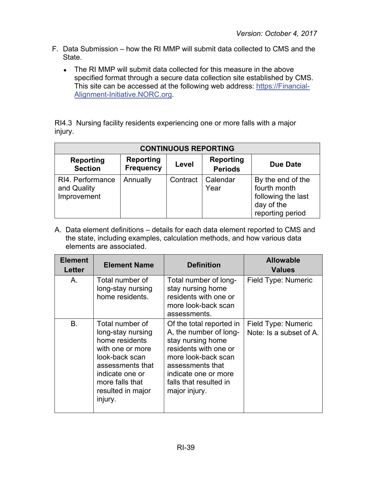- F. Data Submission how the RI MMP will submit data collected to CMS and the State.
	- The RI MMP will submit data collected for this measure in the above specified format through a secure data collection site established by CMS. This site can be accessed at the following web address: [https://Financial-](https://financial-alignment-initiative.norc.org/)[Alignment-Initiative.NORC.org.](https://financial-alignment-initiative.norc.org/)

RI4.3 Nursing facility residents experiencing one or more falls with a major injury.

| <b>CONTINUOUS REPORTING</b>                    |                                      |          |                                    |                                                                                           |
|------------------------------------------------|--------------------------------------|----------|------------------------------------|-------------------------------------------------------------------------------------------|
| Reporting<br><b>Section</b>                    | <b>Reporting</b><br><b>Frequency</b> | Level    | <b>Reporting</b><br><b>Periods</b> | <b>Due Date</b>                                                                           |
| RI4. Performance<br>and Quality<br>Improvement | Annually                             | Contract | Calendar<br>Year                   | By the end of the<br>fourth month<br>following the last<br>day of the<br>reporting period |

| <b>Element</b><br>Letter | <b>Element Name</b>                                                                                                                                                                    | <b>Definition</b>                                                                                                                                                                                              | <b>Allowable</b><br><b>Values</b>              |
|--------------------------|----------------------------------------------------------------------------------------------------------------------------------------------------------------------------------------|----------------------------------------------------------------------------------------------------------------------------------------------------------------------------------------------------------------|------------------------------------------------|
| Α.                       | Total number of<br>long-stay nursing<br>home residents.                                                                                                                                | Total number of long-<br>stay nursing home<br>residents with one or<br>more look-back scan<br>assessments.                                                                                                     | Field Type: Numeric                            |
| <b>B.</b>                | Total number of<br>long-stay nursing<br>home residents<br>with one or more<br>look-back scan<br>assessments that<br>indicate one or<br>more falls that<br>resulted in major<br>injury. | Of the total reported in<br>A, the number of long-<br>stay nursing home<br>residents with one or<br>more look-back scan<br>assessments that<br>indicate one or more<br>falls that resulted in<br>major injury. | Field Type: Numeric<br>Note: Is a subset of A. |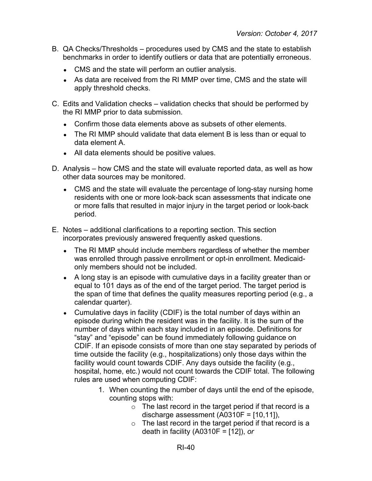- B. QA Checks/Thresholds procedures used by CMS and the state to establish benchmarks in order to identify outliers or data that are potentially erroneous.
	- CMS and the state will perform an outlier analysis.
	- As data are received from the RI MMP over time, CMS and the state will apply threshold checks.
- C. Edits and Validation checks validation checks that should be performed by the RI MMP prior to data submission.
	- Confirm those data elements above as subsets of other elements.
	- The RI MMP should validate that data element B is less than or equal to data element A.
	- All data elements should be positive values.
- D. Analysis how CMS and the state will evaluate reported data, as well as how other data sources may be monitored.
	- CMS and the state will evaluate the percentage of long-stay nursing home residents with one or more look-back scan assessments that indicate one or more falls that resulted in major injury in the target period or look-back period.
- E. Notes additional clarifications to a reporting section. This section incorporates previously answered frequently asked questions.
	- The RI MMP should include members regardless of whether the member was enrolled through passive enrollment or opt-in enrollment. Medicaidonly members should not be included.
	- A long stay is an episode with cumulative days in a facility greater than or equal to 101 days as of the end of the target period. The target period is the span of time that defines the quality measures reporting period (e.g., a calendar quarter).
	- Cumulative days in facility (CDIF) is the total number of days within an episode during which the resident was in the facility. It is the sum of the number of days within each stay included in an episode. Definitions for "stay" and "episode" can be found immediately following guidance on CDIF. If an episode consists of more than one stay separated by periods of time outside the facility (e.g., hospitalizations) only those days within the facility would count towards CDIF. Any days outside the facility (e.g., hospital, home, etc.) would not count towards the CDIF total. The following rules are used when computing CDIF:
		- 1. When counting the number of days until the end of the episode, counting stops with:
			- o The last record in the target period if that record is a discharge assessment (A0310F = [10,11]),
			- $\circ$  The last record in the target period if that record is a death in facility (A0310F = [12]), *or*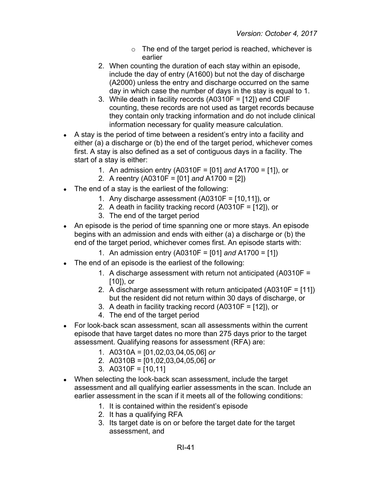- $\circ$  The end of the target period is reached, whichever is earlier
- 2. When counting the duration of each stay within an episode, include the day of entry (A1600) but not the day of discharge (A2000) unless the entry and discharge occurred on the same day in which case the number of days in the stay is equal to 1.
- 3. While death in facility records (A0310F = [12]) end CDIF counting, these records are not used as target records because they contain only tracking information and do not include clinical information necessary for quality measure calculation.
- A stay is the period of time between a resident's entry into a facility and either (a) a discharge or (b) the end of the target period, whichever comes first. A stay is also defined as a set of contiguous days in a facility. The start of a stay is either:
	- 1. An admission entry (A0310F = [01] *and* A1700 = [1]), or
	- 2. A reentry (A0310F = [01] *and* A1700 = [2])
- The end of a stay is the earliest of the following:
	- 1. Any discharge assessment (A0310F = [10,11]), or
	- 2. A death in facility tracking record (A0310F = [12]), or
	- 3. The end of the target period
- An episode is the period of time spanning one or more stays. An episode begins with an admission and ends with either (a) a discharge or (b) the end of the target period, whichever comes first. An episode starts with:
	- 1. An admission entry (A0310F = [01] *and* A1700 = [1])
- The end of an episode is the earliest of the following:
	- 1. A discharge assessment with return not anticipated (A0310F = [10]), or
	- 2. A discharge assessment with return anticipated (A0310F = [11]) but the resident did not return within 30 days of discharge, or
	- 3. A death in facility tracking record (A0310F = [12]), or
	- 4. The end of the target period
- For look-back scan assessment, scan all assessments within the current episode that have target dates no more than 275 days prior to the target assessment. Qualifying reasons for assessment (RFA) are:
	- 1. A0310A = [01,02,03,04,05,06] *or*
	- 2. A0310B = [01,02,03,04,05,06] *or*
	- 3. A0310F = [10,11]
- When selecting the look-back scan assessment, include the target assessment and all qualifying earlier assessments in the scan. Include an earlier assessment in the scan if it meets all of the following conditions:
	- 1. It is contained within the resident's episode
	- 2. It has a qualifying RFA
	- 3. Its target date is on or before the target date for the target assessment, and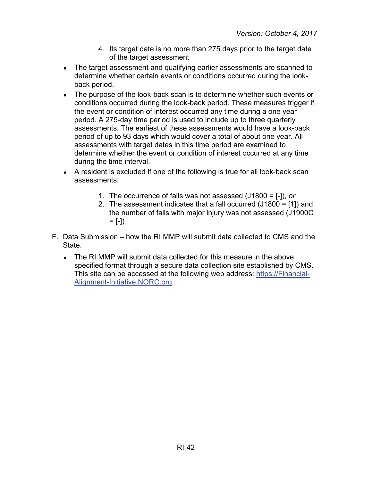- 4. Its target date is no more than 275 days prior to the target date of the target assessment
- The target assessment and qualifying earlier assessments are scanned to determine whether certain events or conditions occurred during the lookback period.
- The purpose of the look-back scan is to determine whether such events or conditions occurred during the look-back period. These measures trigger if the event or condition of interest occurred any time during a one year period. A 275-day time period is used to include up to three quarterly assessments. The earliest of these assessments would have a look-back period of up to 93 days which would cover a total of about one year. All assessments with target dates in this time period are examined to determine whether the event or condition of interest occurred at any time during the time interval.
- A resident is excluded if one of the following is true for all look-back scan assessments:
	- 1. The occurrence of falls was not assessed (J1800 = [-]), *or*
	- 2. The assessment indicates that a fall occurred (J1800 = [1]) and the number of falls with major injury was not assessed (J1900C  $= [-1)$
- F. Data Submission how the RI MMP will submit data collected to CMS and the State.
	- The RI MMP will submit data collected for this measure in the above specified format through a secure data collection site established by CMS. This site can be accessed at the following web address: [https://Financial-](https://financial-alignment-initiative.norc.org/)[Alignment-Initiative.NORC.org.](https://financial-alignment-initiative.norc.org/)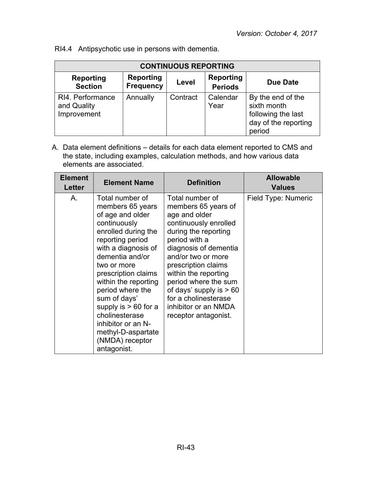|  | RI4.4 Antipsychotic use in persons with dementia. |  |  |  |
|--|---------------------------------------------------|--|--|--|
|--|---------------------------------------------------|--|--|--|

| <b>CONTINUOUS REPORTING</b>                    |                                      |          |                                    |                                                                                          |
|------------------------------------------------|--------------------------------------|----------|------------------------------------|------------------------------------------------------------------------------------------|
| Reporting<br><b>Section</b>                    | <b>Reporting</b><br><b>Frequency</b> | Level    | <b>Reporting</b><br><b>Periods</b> | <b>Due Date</b>                                                                          |
| RI4. Performance<br>and Quality<br>Improvement | Annually                             | Contract | Calendar<br>Year                   | By the end of the<br>sixth month<br>following the last<br>day of the reporting<br>period |

| <b>Element</b><br>Letter | <b>Element Name</b>                                                                                                                                                                                                                                                                                                                                                                      | <b>Definition</b>                                                                                                                                                                                                                                                                                                                                    | <b>Allowable</b><br><b>Values</b> |
|--------------------------|------------------------------------------------------------------------------------------------------------------------------------------------------------------------------------------------------------------------------------------------------------------------------------------------------------------------------------------------------------------------------------------|------------------------------------------------------------------------------------------------------------------------------------------------------------------------------------------------------------------------------------------------------------------------------------------------------------------------------------------------------|-----------------------------------|
| Α.                       | Total number of<br>members 65 years<br>of age and older<br>continuously<br>enrolled during the<br>reporting period<br>with a diagnosis of<br>dementia and/or<br>two or more<br>prescription claims<br>within the reporting<br>period where the<br>sum of days'<br>supply is $> 60$ for a<br>cholinesterase<br>inhibitor or an N-<br>methyl-D-aspartate<br>(NMDA) receptor<br>antagonist. | Total number of<br>members 65 years of<br>age and older<br>continuously enrolled<br>during the reporting<br>period with a<br>diagnosis of dementia<br>and/or two or more<br>prescription claims<br>within the reporting<br>period where the sum<br>of days' supply is $> 60$<br>for a cholinesterase<br>inhibitor or an NMDA<br>receptor antagonist. | Field Type: Numeric               |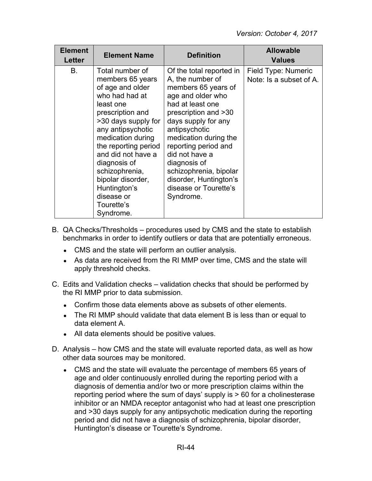| <b>Element</b><br>Letter | <b>Element Name</b>                                                                                                                                                                                                                                                                                                                       | <b>Definition</b>                                                                                                                                                                                                                                                                                                                                         | <b>Allowable</b><br><b>Values</b>              |
|--------------------------|-------------------------------------------------------------------------------------------------------------------------------------------------------------------------------------------------------------------------------------------------------------------------------------------------------------------------------------------|-----------------------------------------------------------------------------------------------------------------------------------------------------------------------------------------------------------------------------------------------------------------------------------------------------------------------------------------------------------|------------------------------------------------|
| В.                       | Total number of<br>members 65 years<br>of age and older<br>who had had at<br>least one<br>prescription and<br>>30 days supply for<br>any antipsychotic<br>medication during<br>the reporting period<br>and did not have a<br>diagnosis of<br>schizophrenia,<br>bipolar disorder,<br>Huntington's<br>disease or<br>Tourette's<br>Syndrome. | Of the total reported in<br>A, the number of<br>members 65 years of<br>age and older who<br>had at least one<br>prescription and >30<br>days supply for any<br>antipsychotic<br>medication during the<br>reporting period and<br>did not have a<br>diagnosis of<br>schizophrenia, bipolar<br>disorder, Huntington's<br>disease or Tourette's<br>Syndrome. | Field Type: Numeric<br>Note: Is a subset of A. |

- B. QA Checks/Thresholds procedures used by CMS and the state to establish benchmarks in order to identify outliers or data that are potentially erroneous.
	- CMS and the state will perform an outlier analysis.
	- As data are received from the RI MMP over time, CMS and the state will apply threshold checks.
- C. Edits and Validation checks validation checks that should be performed by the RI MMP prior to data submission.
	- Confirm those data elements above as subsets of other elements.
	- The RI MMP should validate that data element B is less than or equal to data element A.
	- All data elements should be positive values.
- D. Analysis how CMS and the state will evaluate reported data, as well as how other data sources may be monitored.
	- CMS and the state will evaluate the percentage of members 65 years of age and older continuously enrolled during the reporting period with a diagnosis of dementia and/or two or more prescription claims within the reporting period where the sum of days' supply is  $> 60$  for a cholinesterase inhibitor or an NMDA receptor antagonist who had at least one prescription and >30 days supply for any antipsychotic medication during the reporting period and did not have a diagnosis of schizophrenia, bipolar disorder, Huntington's disease or Tourette's Syndrome.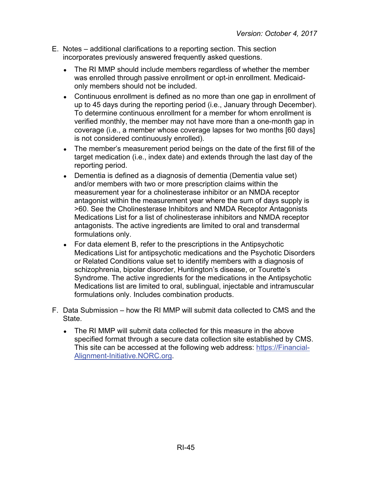- E. Notes additional clarifications to a reporting section. This section incorporates previously answered frequently asked questions.
	- The RI MMP should include members regardless of whether the member was enrolled through passive enrollment or opt-in enrollment. Medicaidonly members should not be included.
	- Continuous enrollment is defined as no more than one gap in enrollment of up to 45 days during the reporting period (i.e., January through December). To determine continuous enrollment for a member for whom enrollment is verified monthly, the member may not have more than a one-month gap in coverage (i.e., a member whose coverage lapses for two months [60 days] is not considered continuously enrolled).
	- The member's measurement period beings on the date of the first fill of the target medication (i.e., index date) and extends through the last day of the reporting period.
	- Dementia is defined as a diagnosis of dementia (Dementia value set) and/or members with two or more prescription claims within the measurement year for a cholinesterase inhibitor or an NMDA receptor antagonist within the measurement year where the sum of days supply is >60. See the Cholinesterase Inhibitors and NMDA Receptor Antagonists Medications List for a list of cholinesterase inhibitors and NMDA receptor antagonists. The active ingredients are limited to oral and transdermal formulations only.
	- For data element B, refer to the prescriptions in the Antipsychotic Medications List for antipsychotic medications and the Psychotic Disorders or Related Conditions value set to identify members with a diagnosis of schizophrenia, bipolar disorder, Huntington's disease, or Tourette's Syndrome. The active ingredients for the medications in the Antipsychotic Medications list are limited to oral, sublingual, injectable and intramuscular formulations only. Includes combination products.
- F. Data Submission how the RI MMP will submit data collected to CMS and the State.
	- The RI MMP will submit data collected for this measure in the above specified format through a secure data collection site established by CMS. This site can be accessed at the following web address: [https://Financial-](https://financial-alignment-initiative.norc.org/)[Alignment-Initiative.NORC.org.](https://financial-alignment-initiative.norc.org/)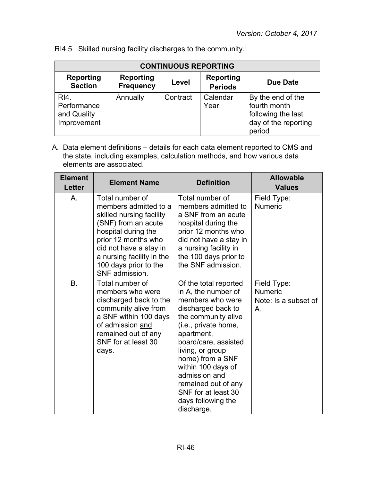| <b>CONTINUOUS REPORTING</b>                          |                                      |          |                             |                                                                                           |
|------------------------------------------------------|--------------------------------------|----------|-----------------------------|-------------------------------------------------------------------------------------------|
| <b>Reporting</b><br><b>Section</b>                   | <b>Reporting</b><br><b>Frequency</b> | Level    | Reporting<br><b>Periods</b> | <b>Due Date</b>                                                                           |
| $R14$ .<br>Performance<br>and Quality<br>Improvement | Annually                             | Contract | Calendar<br>Year            | By the end of the<br>fourth month<br>following the last<br>day of the reporting<br>period |

RI4.5 Skilled nursing facility discharges to the community.<sup>i</sup>

| <b>Element</b><br><b>Letter</b> | <b>Element Name</b>                                                                                                                                                                                                                         | <b>Definition</b>                                                                                                                                                                                                                                                                                                                            | <b>Allowable</b><br><b>Values</b>                           |
|---------------------------------|---------------------------------------------------------------------------------------------------------------------------------------------------------------------------------------------------------------------------------------------|----------------------------------------------------------------------------------------------------------------------------------------------------------------------------------------------------------------------------------------------------------------------------------------------------------------------------------------------|-------------------------------------------------------------|
| Α.                              | Total number of<br>members admitted to a<br>skilled nursing facility<br>(SNF) from an acute<br>hospital during the<br>prior 12 months who<br>did not have a stay in<br>a nursing facility in the<br>100 days prior to the<br>SNF admission. | Total number of<br>members admitted to<br>a SNF from an acute<br>hospital during the<br>prior 12 months who<br>did not have a stay in<br>a nursing facility in<br>the 100 days prior to<br>the SNF admission.                                                                                                                                | Field Type:<br><b>Numeric</b>                               |
| B.                              | Total number of<br>members who were<br>discharged back to the<br>community alive from<br>a SNF within 100 days<br>of admission and<br>remained out of any<br>SNF for at least 30<br>days.                                                   | Of the total reported<br>in A, the number of<br>members who were<br>discharged back to<br>the community alive<br>(i.e., private home,<br>apartment,<br>board/care, assisted<br>living, or group<br>home) from a SNF<br>within 100 days of<br>admission and<br>remained out of any<br>SNF for at least 30<br>days following the<br>discharge. | Field Type:<br><b>Numeric</b><br>Note: Is a subset of<br>Α. |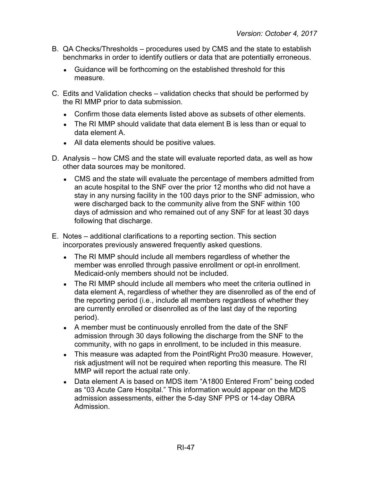- B. QA Checks/Thresholds procedures used by CMS and the state to establish benchmarks in order to identify outliers or data that are potentially erroneous.
	- Guidance will be forthcoming on the established threshold for this measure.
- C. Edits and Validation checks validation checks that should be performed by the RI MMP prior to data submission.
	- Confirm those data elements listed above as subsets of other elements.
	- The RI MMP should validate that data element B is less than or equal to data element A.
	- All data elements should be positive values.
- D. Analysis how CMS and the state will evaluate reported data, as well as how other data sources may be monitored.
	- CMS and the state will evaluate the percentage of members admitted from an acute hospital to the SNF over the prior 12 months who did not have a stay in any nursing facility in the 100 days prior to the SNF admission, who were discharged back to the community alive from the SNF within 100 days of admission and who remained out of any SNF for at least 30 days following that discharge.
- E. Notes additional clarifications to a reporting section. This section incorporates previously answered frequently asked questions.
	- The RI MMP should include all members regardless of whether the member was enrolled through passive enrollment or opt-in enrollment. Medicaid-only members should not be included.
	- The RI MMP should include all members who meet the criteria outlined in data element A, regardless of whether they are disenrolled as of the end of the reporting period (i.e., include all members regardless of whether they are currently enrolled or disenrolled as of the last day of the reporting period).
	- A member must be continuously enrolled from the date of the SNF admission through 30 days following the discharge from the SNF to the community, with no gaps in enrollment, to be included in this measure.
	- This measure was adapted from the Point Right Pro30 measure. However, risk adjustment will not be required when reporting this measure. The RI MMP will report the actual rate only.
	- Data element A is based on MDS item "A1800 Entered From" being coded as "03 Acute Care Hospital." This information would appear on the MDS admission assessments, either the 5-day SNF PPS or 14-day OBRA Admission.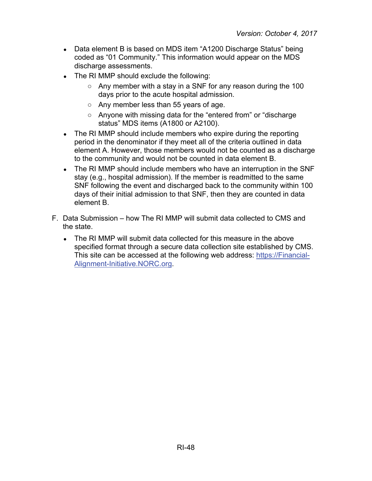- Data element B is based on MDS item "A1200 Discharge Status" being coded as "01 Community." This information would appear on the MDS discharge assessments.
- The RI MMP should exclude the following:
	- $\circ$  Any member with a stay in a SNF for any reason during the 100 days prior to the acute hospital admission.
	- Any member less than 55 years of age.
	- Anyone with missing data for the "entered from" or "discharge status" MDS items (A1800 or A2100).
- The RI MMP should include members who expire during the reporting period in the denominator if they meet all of the criteria outlined in data element A. However, those members would not be counted as a discharge to the community and would not be counted in data element B.
- The RI MMP should include members who have an interruption in the SNF stay (e.g., hospital admission). If the member is readmitted to the same SNF following the event and discharged back to the community within 100 days of their initial admission to that SNF, then they are counted in data element B.
- F. Data Submission how The RI MMP will submit data collected to CMS and the state.
	- The RI MMP will submit data collected for this measure in the above specified format through a secure data collection site established by CMS. This site can be accessed at the following web address: [https://Financial-](https://financial-alignment-initiative.norc.org/)[Alignment-Initiative.NORC.org.](https://financial-alignment-initiative.norc.org/)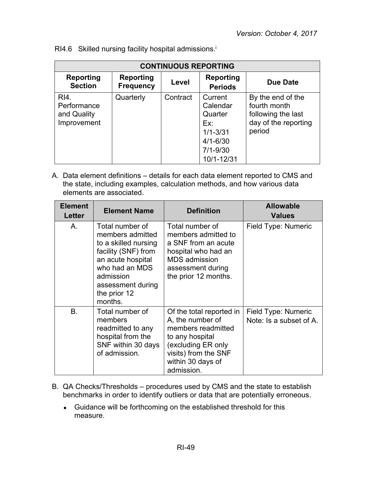| <b>CONTINUOUS REPORTING</b>                       |                                      |          |                                                                                                     |                                                                                           |  |
|---------------------------------------------------|--------------------------------------|----------|-----------------------------------------------------------------------------------------------------|-------------------------------------------------------------------------------------------|--|
| <b>Reporting</b><br><b>Section</b>                | <b>Reporting</b><br><b>Frequency</b> | Level    | Reporting<br><b>Periods</b>                                                                         | Due Date                                                                                  |  |
| RI4.<br>Performance<br>and Quality<br>Improvement | Quarterly                            | Contract | Current<br>Calendar<br>Quarter<br>Ex:<br>$1/1 - 3/31$<br>$4/1 - 6/30$<br>$7/1 - 9/30$<br>10/1-12/31 | By the end of the<br>fourth month<br>following the last<br>day of the reporting<br>period |  |

RI4.6 Skilled nursing facility hospital admissions.<sup>i</sup>

| <b>Element</b><br>Letter | <b>Element Name</b>                                                                                                                                                                    | <b>Definition</b>                                                                                                                                                      | <b>Allowable</b><br><b>Values</b>              |
|--------------------------|----------------------------------------------------------------------------------------------------------------------------------------------------------------------------------------|------------------------------------------------------------------------------------------------------------------------------------------------------------------------|------------------------------------------------|
| A.                       | Total number of<br>members admitted<br>to a skilled nursing<br>facility (SNF) from<br>an acute hospital<br>who had an MDS<br>admission<br>assessment during<br>the prior 12<br>months. | Total number of<br>members admitted to<br>a SNF from an acute<br>hospital who had an<br><b>MDS</b> admission<br>assessment during<br>the prior 12 months.              | Field Type: Numeric                            |
| <b>B.</b>                | Total number of<br>members<br>readmitted to any<br>hospital from the<br>SNF within 30 days<br>of admission.                                                                            | Of the total reported in<br>A, the number of<br>members readmitted<br>to any hospital<br>(excluding ER only<br>visits) from the SNF<br>within 30 days of<br>admission. | Field Type: Numeric<br>Note: Is a subset of A. |

- B. QA Checks/Thresholds procedures used by CMS and the state to establish benchmarks in order to identify outliers or data that are potentially erroneous.
	- Guidance will be forthcoming on the established threshold for this measure.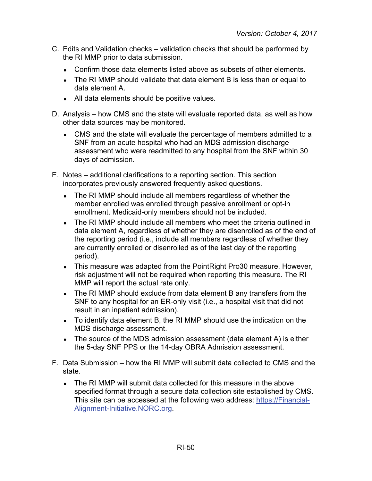- C. Edits and Validation checks validation checks that should be performed by the RI MMP prior to data submission.
	- Confirm those data elements listed above as subsets of other elements.
	- The RI MMP should validate that data element B is less than or equal to data element A.
	- All data elements should be positive values.
- D. Analysis how CMS and the state will evaluate reported data, as well as how other data sources may be monitored.
	- CMS and the state will evaluate the percentage of members admitted to a SNF from an acute hospital who had an MDS admission discharge assessment who were readmitted to any hospital from the SNF within 30 days of admission.
- E. Notes additional clarifications to a reporting section. This section incorporates previously answered frequently asked questions.
	- The RI MMP should include all members regardless of whether the member enrolled was enrolled through passive enrollment or opt-in enrollment. Medicaid-only members should not be included.
	- The RI MMP should include all members who meet the criteria outlined in data element A, regardless of whether they are disenrolled as of the end of the reporting period (i.e., include all members regardless of whether they are currently enrolled or disenrolled as of the last day of the reporting period).
	- This measure was adapted from the Point Right Pro30 measure. However, risk adjustment will not be required when reporting this measure. The RI MMP will report the actual rate only.
	- The RI MMP should exclude from data element B any transfers from the SNF to any hospital for an ER-only visit (i.e., a hospital visit that did not result in an inpatient admission).
	- To identify data element B, the RI MMP should use the indication on the MDS discharge assessment.
	- The source of the MDS admission assessment (data element A) is either the 5-day SNF PPS or the 14-day OBRA Admission assessment.
- F. Data Submission how the RI MMP will submit data collected to CMS and the state.
	- The RI MMP will submit data collected for this measure in the above specified format through a secure data collection site established by CMS. This site can be accessed at the following web address: [https://Financial-](https://financial-alignment-initiative.norc.org/)[Alignment-Initiative.NORC.org.](https://financial-alignment-initiative.norc.org/)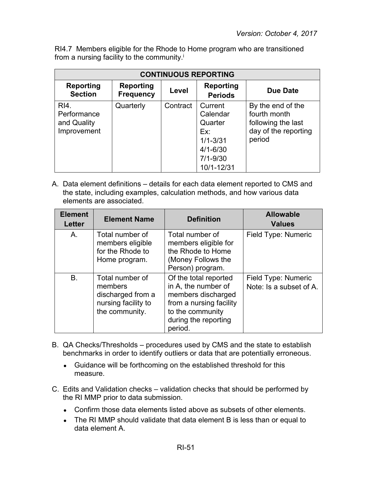RI4.7 Members eligible for the Rhode to Home program who are transitioned from a nursing facility to the community.<sup>i</sup>

| <b>CONTINUOUS REPORTING</b>                       |                                      |          |                                                                                                     |                                                                                           |  |
|---------------------------------------------------|--------------------------------------|----------|-----------------------------------------------------------------------------------------------------|-------------------------------------------------------------------------------------------|--|
| <b>Reporting</b><br><b>Section</b>                | <b>Reporting</b><br><b>Frequency</b> | Level    | <b>Reporting</b><br><b>Periods</b>                                                                  | Due Date                                                                                  |  |
| RI4.<br>Performance<br>and Quality<br>Improvement | Quarterly                            | Contract | Current<br>Calendar<br>Quarter<br>Ex:<br>$1/1 - 3/31$<br>$4/1 - 6/30$<br>$7/1 - 9/30$<br>10/1-12/31 | By the end of the<br>fourth month<br>following the last<br>day of the reporting<br>period |  |

| <b>Element</b><br><b>Letter</b> | <b>Element Name</b>                                                                      | <b>Definition</b>                                                                                                                                    | <b>Allowable</b><br><b>Values</b>              |
|---------------------------------|------------------------------------------------------------------------------------------|------------------------------------------------------------------------------------------------------------------------------------------------------|------------------------------------------------|
| A.                              | Total number of<br>members eligible<br>for the Rhode to<br>Home program.                 | Total number of<br>members eligible for<br>the Rhode to Home<br>(Money Follows the<br>Person) program.                                               | Field Type: Numeric                            |
| B.                              | Total number of<br>members<br>discharged from a<br>nursing facility to<br>the community. | Of the total reported<br>in A, the number of<br>members discharged<br>from a nursing facility<br>to the community<br>during the reporting<br>period. | Field Type: Numeric<br>Note: Is a subset of A. |

- B. QA Checks/Thresholds procedures used by CMS and the state to establish benchmarks in order to identify outliers or data that are potentially erroneous.
	- Guidance will be forthcoming on the established threshold for this measure.
- C. Edits and Validation checks validation checks that should be performed by the RI MMP prior to data submission.
	- Confirm those data elements listed above as subsets of other elements.
	- The RI MMP should validate that data element B is less than or equal to data element A.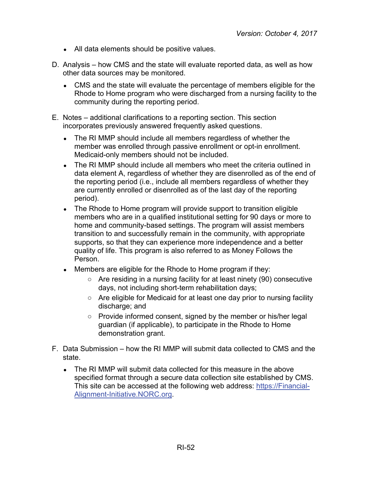- All data elements should be positive values.
- D. Analysis how CMS and the state will evaluate reported data, as well as how other data sources may be monitored.
	- CMS and the state will evaluate the percentage of members eligible for the Rhode to Home program who were discharged from a nursing facility to the community during the reporting period.
- E. Notes additional clarifications to a reporting section. This section incorporates previously answered frequently asked questions.
	- The RI MMP should include all members regardless of whether the member was enrolled through passive enrollment or opt-in enrollment. Medicaid-only members should not be included.
	- The RI MMP should include all members who meet the criteria outlined in data element A, regardless of whether they are disenrolled as of the end of the reporting period (i.e., include all members regardless of whether they are currently enrolled or disenrolled as of the last day of the reporting period).
	- The Rhode to Home program will provide support to transition eligible members who are in a qualified institutional setting for 90 days or more to home and community-based settings. The program will assist members transition to and successfully remain in the community, with appropriate supports, so that they can experience more independence and a better quality of life. This program is also referred to as Money Follows the Person.
	- Members are eligible for the Rhode to Home program if they:
		- Are residing in a nursing facility for at least ninety (90) consecutive days, not including short-term rehabilitation days;
		- Are eligible for Medicaid for at least one day prior to nursing facility discharge; and
		- Provide informed consent, signed by the member or his/her legal guardian (if applicable), to participate in the Rhode to Home demonstration grant.
- F. Data Submission how the RI MMP will submit data collected to CMS and the state.
	- The RI MMP will submit data collected for this measure in the above specified format through a secure data collection site established by CMS. This site can be accessed at the following web address: [https://Financial-](https://financial-alignment-initiative.norc.org/)[Alignment-Initiative.NORC.org.](https://financial-alignment-initiative.norc.org/)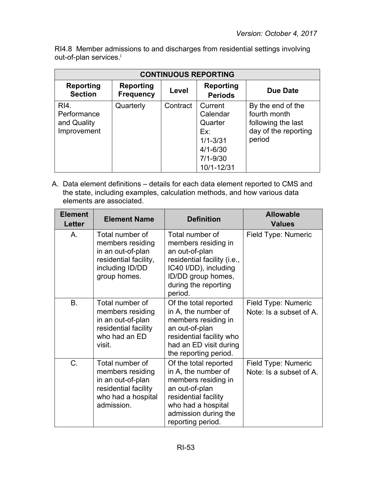RI4.8 Member admissions to and discharges from residential settings involving out-of-plan services.<sup>i</sup>

| <b>CONTINUOUS REPORTING</b>                       |                                      |          |                                                                                                     |                                                                                           |
|---------------------------------------------------|--------------------------------------|----------|-----------------------------------------------------------------------------------------------------|-------------------------------------------------------------------------------------------|
| <b>Reporting</b><br><b>Section</b>                | <b>Reporting</b><br><b>Frequency</b> | Level    | <b>Reporting</b><br><b>Periods</b>                                                                  | Due Date                                                                                  |
| RI4.<br>Performance<br>and Quality<br>Improvement | Quarterly                            | Contract | Current<br>Calendar<br>Quarter<br>Ex:<br>$1/1 - 3/31$<br>$4/1 - 6/30$<br>$7/1 - 9/30$<br>10/1-12/31 | By the end of the<br>fourth month<br>following the last<br>day of the reporting<br>period |

| <b>Element</b><br><b>Letter</b> | <b>Element Name</b>                                                                                                  | <b>Definition</b>                                                                                                                                                                | <b>Allowable</b><br><b>Values</b>              |
|---------------------------------|----------------------------------------------------------------------------------------------------------------------|----------------------------------------------------------------------------------------------------------------------------------------------------------------------------------|------------------------------------------------|
| A.                              | Total number of<br>members residing<br>in an out-of-plan<br>residential facility,<br>including ID/DD<br>group homes. | Total number of<br>members residing in<br>an out-of-plan<br>residential facility (i.e.,<br>IC40 I/DD), including<br>ID/DD group homes,<br>during the reporting<br>period.        | Field Type: Numeric                            |
| <b>B.</b>                       | Total number of<br>members residing<br>in an out-of-plan<br>residential facility<br>who had an ED<br>visit.          | Of the total reported<br>in A, the number of<br>members residing in<br>an out-of-plan<br>residential facility who<br>had an ED visit during<br>the reporting period.             | Field Type: Numeric<br>Note: Is a subset of A. |
| C.                              | Total number of<br>members residing<br>in an out-of-plan<br>residential facility<br>who had a hospital<br>admission. | Of the total reported<br>in A, the number of<br>members residing in<br>an out-of-plan<br>residential facility<br>who had a hospital<br>admission during the<br>reporting period. | Field Type: Numeric<br>Note: Is a subset of A. |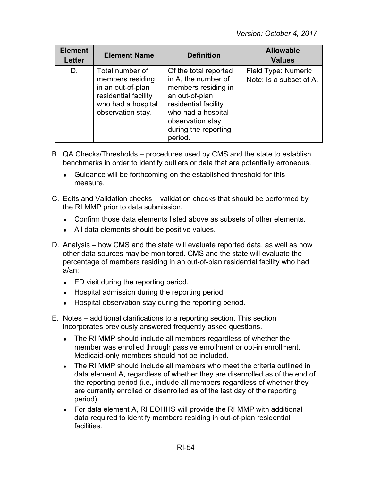| <b>Element</b><br><b>Letter</b> | <b>Element Name</b>                                                                                                         | <b>Definition</b>                                                                                                                                                                          | <b>Allowable</b><br><b>Values</b>              |
|---------------------------------|-----------------------------------------------------------------------------------------------------------------------------|--------------------------------------------------------------------------------------------------------------------------------------------------------------------------------------------|------------------------------------------------|
| D.                              | Total number of<br>members residing<br>in an out-of-plan<br>residential facility<br>who had a hospital<br>observation stay. | Of the total reported<br>in A, the number of<br>members residing in<br>an out-of-plan<br>residential facility<br>who had a hospital<br>observation stay<br>during the reporting<br>period. | Field Type: Numeric<br>Note: Is a subset of A. |

- B. QA Checks/Thresholds procedures used by CMS and the state to establish benchmarks in order to identify outliers or data that are potentially erroneous.
	- Guidance will be forthcoming on the established threshold for this measure.
- C. Edits and Validation checks validation checks that should be performed by the RI MMP prior to data submission.
	- Confirm those data elements listed above as subsets of other elements.
	- All data elements should be positive values.
- D. Analysis how CMS and the state will evaluate reported data, as well as how other data sources may be monitored. CMS and the state will evaluate the percentage of members residing in an out-of-plan residential facility who had a/an:
	- ED visit during the reporting period.
	- Hospital admission during the reporting period.
	- Hospital observation stay during the reporting period.
- E. Notes additional clarifications to a reporting section. This section incorporates previously answered frequently asked questions.
	- The RI MMP should include all members regardless of whether the member was enrolled through passive enrollment or opt-in enrollment. Medicaid-only members should not be included.
	- The RI MMP should include all members who meet the criteria outlined in data element A, regardless of whether they are disenrolled as of the end of the reporting period (i.e., include all members regardless of whether they are currently enrolled or disenrolled as of the last day of the reporting period).
	- For data element A, RI EOHHS will provide the RI MMP with additional data required to identify members residing in out-of-plan residential facilities.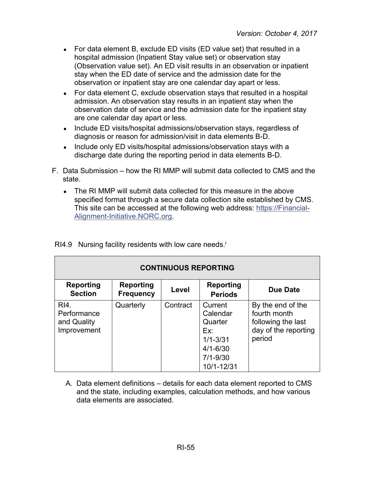- For data element B, exclude ED visits (ED value set) that resulted in a hospital admission (Inpatient Stay value set) or observation stay (Observation value set). An ED visit results in an observation or inpatient stay when the ED date of service and the admission date for the observation or inpatient stay are one calendar day apart or less.
- For data element C, exclude observation stays that resulted in a hospital admission. An observation stay results in an inpatient stay when the observation date of service and the admission date for the inpatient stay are one calendar day apart or less.
- Include ED visits/hospital admissions/observation stays, regardless of diagnosis or reason for admission/visit in data elements B-D.
- Include only ED visits/hospital admissions/observation stays with a discharge date during the reporting period in data elements B-D.
- F. Data Submission how the RI MMP will submit data collected to CMS and the state.
	- The RI MMP will submit data collected for this measure in the above specified format through a secure data collection site established by CMS. This site can be accessed at the following web address: [https://Financial-](https://financial-alignment-initiative.norc.org/)[Alignment-Initiative.NORC.org.](https://financial-alignment-initiative.norc.org/)

| <b>CONTINUOUS REPORTING</b>                       |                                      |          |                                                                                                     |                                                                                           |
|---------------------------------------------------|--------------------------------------|----------|-----------------------------------------------------------------------------------------------------|-------------------------------------------------------------------------------------------|
| <b>Reporting</b><br><b>Section</b>                | <b>Reporting</b><br><b>Frequency</b> | Level    | Reporting<br><b>Periods</b>                                                                         | Due Date                                                                                  |
| RI4.<br>Performance<br>and Quality<br>Improvement | Quarterly                            | Contract | Current<br>Calendar<br>Quarter<br>Ex:<br>$1/1 - 3/31$<br>$4/1 - 6/30$<br>$7/1 - 9/30$<br>10/1-12/31 | By the end of the<br>fourth month<br>following the last<br>day of the reporting<br>period |

 $RI4.9$  Nursing facility residents with low care needs.<sup>i</sup>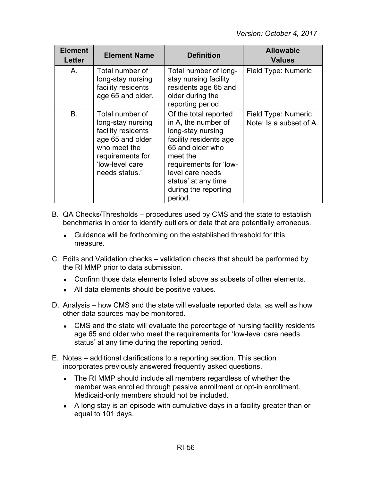| <b>Element</b><br>Letter | <b>Element Name</b>                                                                                                                                     | <b>Definition</b>                                                                                                                                                                                                                   | <b>Allowable</b><br><b>Values</b>              |
|--------------------------|---------------------------------------------------------------------------------------------------------------------------------------------------------|-------------------------------------------------------------------------------------------------------------------------------------------------------------------------------------------------------------------------------------|------------------------------------------------|
| A.                       | Total number of<br>long-stay nursing<br>facility residents<br>age 65 and older.                                                                         | Total number of long-<br>stay nursing facility<br>residents age 65 and<br>older during the<br>reporting period.                                                                                                                     | Field Type: Numeric                            |
| <b>B.</b>                | Total number of<br>long-stay nursing<br>facility residents<br>age 65 and older<br>who meet the<br>requirements for<br>'low-level care<br>needs status.' | Of the total reported<br>in A, the number of<br>long-stay nursing<br>facility residents age<br>65 and older who<br>meet the<br>requirements for 'low-<br>level care needs<br>status' at any time<br>during the reporting<br>period. | Field Type: Numeric<br>Note: Is a subset of A. |

- B. QA Checks/Thresholds procedures used by CMS and the state to establish benchmarks in order to identify outliers or data that are potentially erroneous.
	- Guidance will be forthcoming on the established threshold for this measure.
- C. Edits and Validation checks validation checks that should be performed by the RI MMP prior to data submission.
	- Confirm those data elements listed above as subsets of other elements.
	- All data elements should be positive values.
- D. Analysis how CMS and the state will evaluate reported data, as well as how other data sources may be monitored.
	- CMS and the state will evaluate the percentage of nursing facility residents age 65 and older who meet the requirements for 'low-level care needs status' at any time during the reporting period.
- E. Notes additional clarifications to a reporting section. This section incorporates previously answered frequently asked questions.
	- The RI MMP should include all members regardless of whether the member was enrolled through passive enrollment or opt-in enrollment. Medicaid-only members should not be included.
	- A long stay is an episode with cumulative days in a facility greater than or equal to 101 days.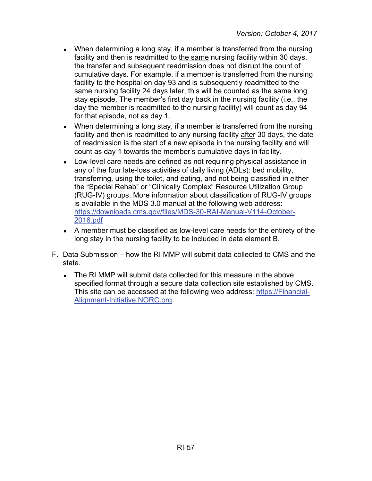- When determining a long stay, if a member is transferred from the nursing facility and then is readmitted to the same nursing facility within 30 days, the transfer and subsequent readmission does not disrupt the count of cumulative days. For example, if a member is transferred from the nursing facility to the hospital on day 93 and is subsequently readmitted to the same nursing facility 24 days later, this will be counted as the same long stay episode. The member's first day back in the nursing facility (i.e., the day the member is readmitted to the nursing facility) will count as day 94 for that episode, not as day 1.
- When determining a long stay, if a member is transferred from the nursing facility and then is readmitted to any nursing facility after 30 days, the date of readmission is the start of a new episode in the nursing facility and will count as day 1 towards the member's cumulative days in facility.
- Low-level care needs are defined as not requiring physical assistance in any of the four late-loss activities of daily living (ADLs): bed mobility, transferring, using the toilet, and eating, and not being classified in either the "Special Rehab" or "Clinically Complex" Resource Utilization Group (RUG-IV) groups. More information about classification of RUG-IV groups is available in the MDS 3.0 manual at the following web address: [https://downloads.cms.gov/files/MDS-30-RAI-Manual-V114-October-](https://downloads.cms.gov/files/MDS-30-RAI-Manual-V114-October-2016.pdf)[2016.pdf](https://downloads.cms.gov/files/MDS-30-RAI-Manual-V114-October-2016.pdf)
- A member must be classified as low-level care needs for the entirety of the long stay in the nursing facility to be included in data element B.
- F. Data Submission how the RI MMP will submit data collected to CMS and the state.
	- The RI MMP will submit data collected for this measure in the above specified format through a secure data collection site established by CMS. This site can be accessed at the following web address: [https://Financial-](https://financial-alignment-initiative.norc.org/)[Alignment-Initiative.NORC.org.](https://financial-alignment-initiative.norc.org/)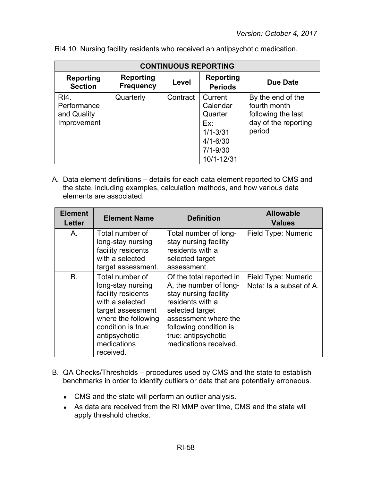| <b>CONTINUOUS REPORTING</b>                       |                                      |          |                                                                                                     |                                                                                           |
|---------------------------------------------------|--------------------------------------|----------|-----------------------------------------------------------------------------------------------------|-------------------------------------------------------------------------------------------|
| <b>Reporting</b><br><b>Section</b>                | <b>Reporting</b><br><b>Frequency</b> | Level    | <b>Reporting</b><br><b>Periods</b>                                                                  | Due Date                                                                                  |
| RI4.<br>Performance<br>and Quality<br>Improvement | Quarterly                            | Contract | Current<br>Calendar<br>Quarter<br>Ex:<br>$1/1 - 3/31$<br>$4/1 - 6/30$<br>$7/1 - 9/30$<br>10/1-12/31 | By the end of the<br>fourth month<br>following the last<br>day of the reporting<br>period |

RI4.10 Nursing facility residents who received an antipsychotic medication.

| <b>Element</b><br><b>Letter</b> | <b>Element Name</b>                                                                                                                                                                          | <b>Definition</b>                                                                                                                                                                                                    | <b>Allowable</b><br><b>Values</b>              |
|---------------------------------|----------------------------------------------------------------------------------------------------------------------------------------------------------------------------------------------|----------------------------------------------------------------------------------------------------------------------------------------------------------------------------------------------------------------------|------------------------------------------------|
| Α.                              | Total number of<br>long-stay nursing<br>facility residents<br>with a selected<br>target assessment.                                                                                          | Total number of long-<br>stay nursing facility<br>residents with a<br>selected target<br>assessment.                                                                                                                 | Field Type: Numeric                            |
| <b>B.</b>                       | Total number of<br>long-stay nursing<br>facility residents<br>with a selected<br>target assessment<br>where the following<br>condition is true:<br>antipsychotic<br>medications<br>received. | Of the total reported in<br>A, the number of long-<br>stay nursing facility<br>residents with a<br>selected target<br>assessment where the<br>following condition is<br>true: antipsychotic<br>medications received. | Field Type: Numeric<br>Note: Is a subset of A. |

- B. QA Checks/Thresholds procedures used by CMS and the state to establish benchmarks in order to identify outliers or data that are potentially erroneous.
	- CMS and the state will perform an outlier analysis.
	- As data are received from the RI MMP over time, CMS and the state will apply threshold checks.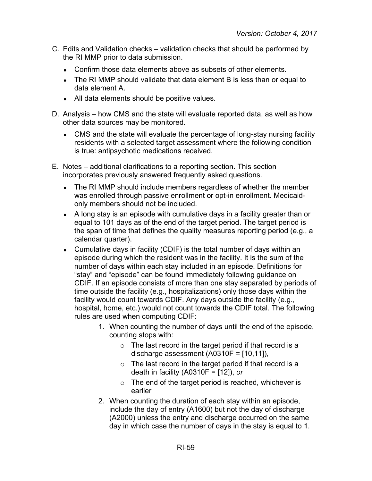- C. Edits and Validation checks validation checks that should be performed by the RI MMP prior to data submission.
	- Confirm those data elements above as subsets of other elements.
	- The RI MMP should validate that data element B is less than or equal to data element A.
	- All data elements should be positive values.
- D. Analysis how CMS and the state will evaluate reported data, as well as how other data sources may be monitored.
	- CMS and the state will evaluate the percentage of long-stay nursing facility residents with a selected target assessment where the following condition is true: antipsychotic medications received.
- E. Notes additional clarifications to a reporting section. This section incorporates previously answered frequently asked questions.
	- The RI MMP should include members regardless of whether the member was enrolled through passive enrollment or opt-in enrollment. Medicaidonly members should not be included.
	- A long stay is an episode with cumulative days in a facility greater than or equal to 101 days as of the end of the target period. The target period is the span of time that defines the quality measures reporting period (e.g., a calendar quarter).
	- Cumulative days in facility (CDIF) is the total number of days within an episode during which the resident was in the facility. It is the sum of the number of days within each stay included in an episode. Definitions for "stay" and "episode" can be found immediately following guidance on CDIF. If an episode consists of more than one stay separated by periods of time outside the facility (e.g., hospitalizations) only those days within the facility would count towards CDIF. Any days outside the facility (e.g., hospital, home, etc.) would not count towards the CDIF total. The following rules are used when computing CDIF:
		- 1. When counting the number of days until the end of the episode, counting stops with:
			- $\circ$  The last record in the target period if that record is a discharge assessment (A0310F = [10,11]),
			- $\circ$  The last record in the target period if that record is a death in facility (A0310F = [12]), *or*
			- $\circ$  The end of the target period is reached, whichever is earlier
		- 2. When counting the duration of each stay within an episode, include the day of entry (A1600) but not the day of discharge (A2000) unless the entry and discharge occurred on the same day in which case the number of days in the stay is equal to 1.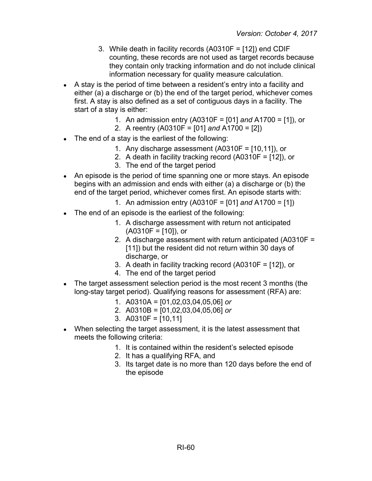- 3. While death in facility records (A0310F = [12]) end CDIF counting, these records are not used as target records because they contain only tracking information and do not include clinical information necessary for quality measure calculation.
- A stay is the period of time between a resident's entry into a facility and either (a) a discharge or (b) the end of the target period, whichever comes first. A stay is also defined as a set of contiguous days in a facility. The start of a stay is either:
	- 1. An admission entry (A0310F = [01] *and* A1700 = [1]), or
	- 2. A reentry (A0310F = [01] *and* A1700 = [2])
- The end of a stay is the earliest of the following:
	- 1. Any discharge assessment  $(A0310F = [10, 11])$ , or
	- 2. A death in facility tracking record (A0310F = [12]), or
	- 3. The end of the target period
- An episode is the period of time spanning one or more stays. An episode begins with an admission and ends with either (a) a discharge or (b) the end of the target period, whichever comes first. An episode starts with:
	- 1. An admission entry (A0310F = [01] *and* A1700 = [1])
- The end of an episode is the earliest of the following:
	- 1. A discharge assessment with return not anticipated  $(A0310F = [10])$ , or
	- 2. A discharge assessment with return anticipated (A0310F = [11]) but the resident did not return within 30 days of discharge, or
	- 3. A death in facility tracking record (A0310F = [12]), or
	- 4. The end of the target period
- The target assessment selection period is the most recent 3 months (the long-stay target period). Qualifying reasons for assessment (RFA) are:
	- 1. A0310A = [01,02,03,04,05,06] *or*
	- 2. A0310B = [01,02,03,04,05,06] *or*
	- 3. A0310F = [10,11]
- When selecting the target assessment, it is the latest assessment that meets the following criteria:
	- 1. It is contained within the resident's selected episode
	- 2. It has a qualifying RFA, and
	- 3. Its target date is no more than 120 days before the end of the episode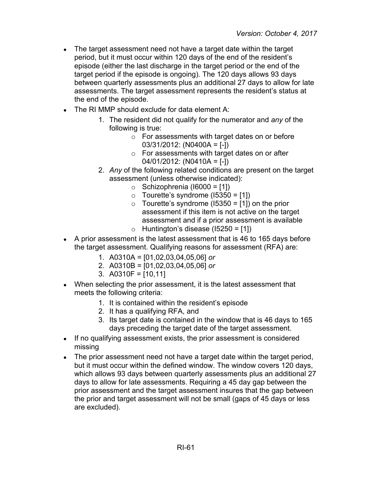- The target assessment need not have a target date within the target period, but it must occur within 120 days of the end of the resident's episode (either the last discharge in the target period or the end of the target period if the episode is ongoing). The 120 days allows 93 days between quarterly assessments plus an additional 27 days to allow for late assessments. The target assessment represents the resident's status at the end of the episode.
- The RI MMP should exclude for data element A:
	- 1. The resident did not qualify for the numerator and *any* of the following is true:
		- o For assessments with target dates on or before 03/31/2012: (N0400A = [-])
		- o For assessments with target dates on or after 04/01/2012: (N0410A = [-])
	- 2. *Any* of the following related conditions are present on the target assessment (unless otherwise indicated):
		- $\circ$  Schizophrenia (16000 = [1])
		- $\circ$  Tourette's syndrome (15350 = [1])
		- $\circ$  Tourette's syndrome (15350 = [1]) on the prior assessment if this item is not active on the target assessment and if a prior assessment is available
		- $\circ$  Huntington's disease (15250 = [1])
- A prior assessment is the latest assessment that is 46 to 165 days before the target assessment. Qualifying reasons for assessment (RFA) are:
	- 1. A0310A = [01,02,03,04,05,06] *or*
	- 2. A0310B = [01,02,03,04,05,06] *or*
	- 3. A0310F = [10,11]
- When selecting the prior assessment, it is the latest assessment that meets the following criteria:
	- 1. It is contained within the resident's episode
	- 2. It has a qualifying RFA, and
	- 3. Its target date is contained in the window that is 46 days to 165 days preceding the target date of the target assessment.
- If no qualifying assessment exists, the prior assessment is considered missing
- The prior assessment need not have a target date within the target period, but it must occur within the defined window. The window covers 120 days, which allows 93 days between quarterly assessments plus an additional 27 days to allow for late assessments. Requiring a 45 day gap between the prior assessment and the target assessment insures that the gap between the prior and target assessment will not be small (gaps of 45 days or less are excluded).